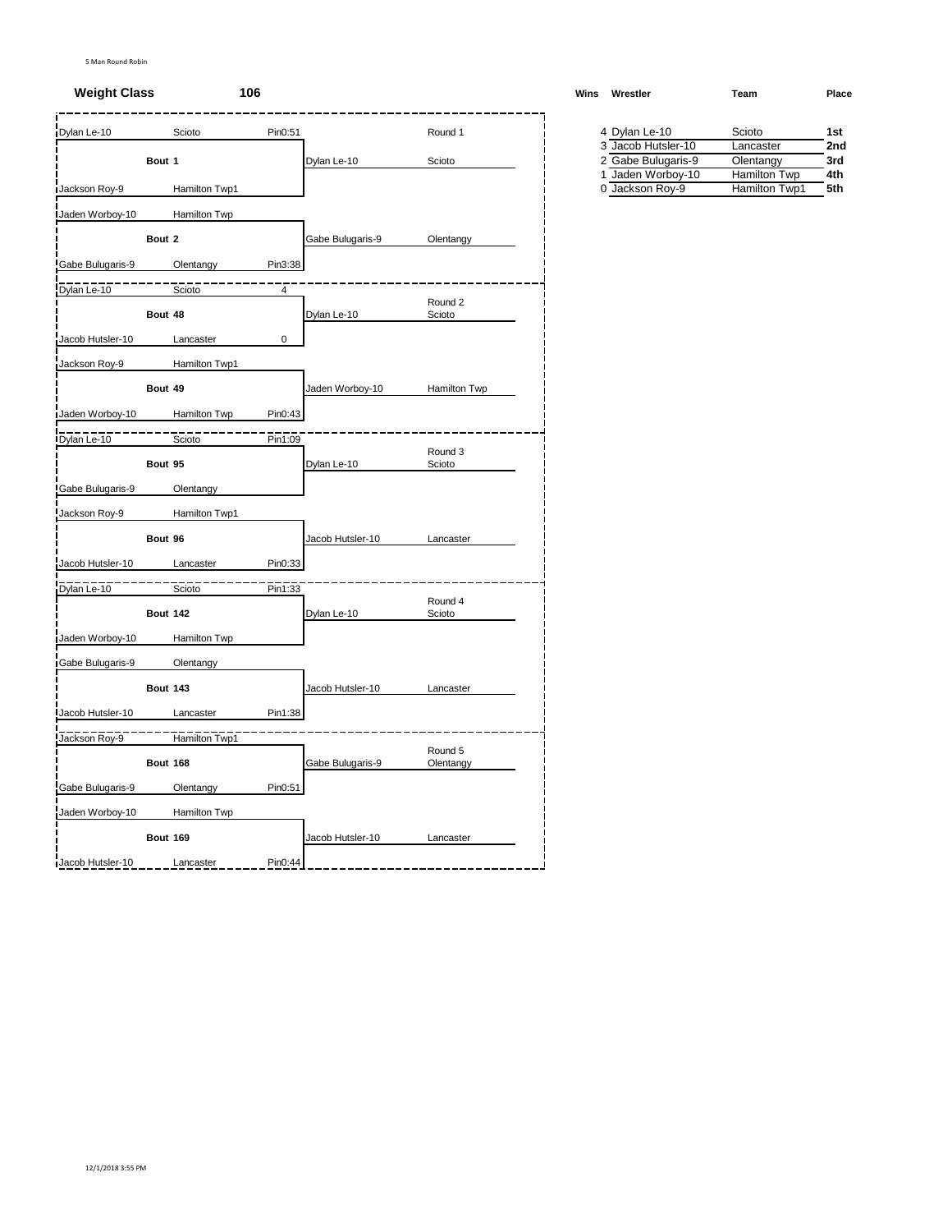## **Weight Class 106 Winsbury <b>Winsbury Winsbury Winsbury Winsbury Winsbury Winsbury Winsbury Winsbury Winsbury Winsbury Winsbury Winsbury Winsbury Winsbury Winsbury Winsbury Winsbury Winsbury Winsbury Winsbury Winsbury W**

| Dylan Le-10      |                 | Scioto        | Pin0:51 |                  | Round 1           | 4 Dylan Le-10      | Scioto        | 1st |
|------------------|-----------------|---------------|---------|------------------|-------------------|--------------------|---------------|-----|
|                  |                 |               |         |                  |                   | 3 Jacob Hutsler-10 | Lancaster     | 2nc |
|                  | Bout 1          |               |         | Dylan Le-10      | Scioto            | 2 Gabe Bulugaris-9 | Olentangy     | 3rd |
|                  |                 |               |         |                  |                   | 1 Jaden Worboy-10  | Hamilton Twp  | 4th |
| Jackson Roy-9    |                 | Hamilton Twp1 |         |                  |                   | 0 Jackson Roy-9    | Hamilton Twp1 | 5th |
| Jaden Worboy-10  |                 | Hamilton Twp  |         |                  |                   |                    |               |     |
|                  | Bout 2          |               |         | Gabe Bulugaris-9 | Olentangy         |                    |               |     |
| Gabe Bulugaris-9 |                 | Olentangy     | Pin3:38 |                  |                   |                    |               |     |
| Dylan Le-10      |                 | Scioto        | 4       |                  |                   |                    |               |     |
|                  | Bout 48         |               |         | Dylan Le-10      | Round 2<br>Scioto |                    |               |     |
| Jacob Hutsler-10 |                 | Lancaster     | 0       |                  |                   |                    |               |     |
| Jackson Roy-9    |                 | Hamilton Twp1 |         |                  |                   |                    |               |     |
|                  | Bout 49         |               |         | Jaden Worboy-10  | Hamilton Twp      |                    |               |     |
| Jaden Worboy-10  |                 | Hamilton Twp  | Pin0:43 |                  |                   |                    |               |     |
|                  |                 |               |         |                  |                   |                    |               |     |
| Dylan Le-10      |                 | Scioto        | Pin1:09 |                  | Round 3           |                    |               |     |
|                  | Bout 95         |               |         | Dylan Le-10      | Scioto            |                    |               |     |
| Gabe Bulugaris-9 |                 | Olentangy     |         |                  |                   |                    |               |     |
| Jackson Roy-9    |                 | Hamilton Twp1 |         |                  |                   |                    |               |     |
|                  | Bout 96         |               |         | Jacob Hutsler-10 | Lancaster         |                    |               |     |
| Jacob Hutsler-10 |                 | Lancaster     | Pin0:33 |                  |                   |                    |               |     |
| Dylan Le-10      |                 | Scioto        | Pin1:33 |                  |                   |                    |               |     |
|                  | <b>Bout 142</b> |               |         | Dylan Le-10      | Round 4<br>Scioto |                    |               |     |
| Jaden Worboy-10  |                 | Hamilton Twp  |         |                  |                   |                    |               |     |
| Gabe Bulugaris-9 |                 | Olentangy     |         |                  |                   |                    |               |     |
|                  | <b>Bout 143</b> |               |         | Jacob Hutsler-10 | Lancaster         |                    |               |     |
| Jacob Hutsler-10 |                 | Lancaster     | Pin1:38 |                  |                   |                    |               |     |
| Jackson Roy-9    |                 | Hamilton Twp1 |         |                  |                   |                    |               |     |
|                  |                 |               |         |                  | Round 5           |                    |               |     |
|                  | Bout 168        |               |         | Gabe Bulugaris-9 | Olentangy         |                    |               |     |
| Gabe Bulugaris-9 |                 | Olentangy     | Pin0:51 |                  |                   |                    |               |     |
| Jaden Worboy-10  |                 | Hamilton Twp  |         |                  |                   |                    |               |     |
|                  | <b>Bout 169</b> |               |         | Jacob Hutsler-10 | Lancaster         |                    |               |     |
| Jacob Hutsler-10 |                 | Lancaster     | Pin0:44 |                  |                   |                    |               |     |

| /ins | Wrestler           | Team                | Place |
|------|--------------------|---------------------|-------|
|      | 4 Dylan Le-10      | Scioto              | 1st   |
|      | 3 Jacob Hutsler-10 | Lancaster           | 2nd   |
|      | 2 Gabe Bulugaris-9 | Olentangy           | 3rd   |
|      | 1 Jaden Worboy-10  | <b>Hamilton Twp</b> | 4th   |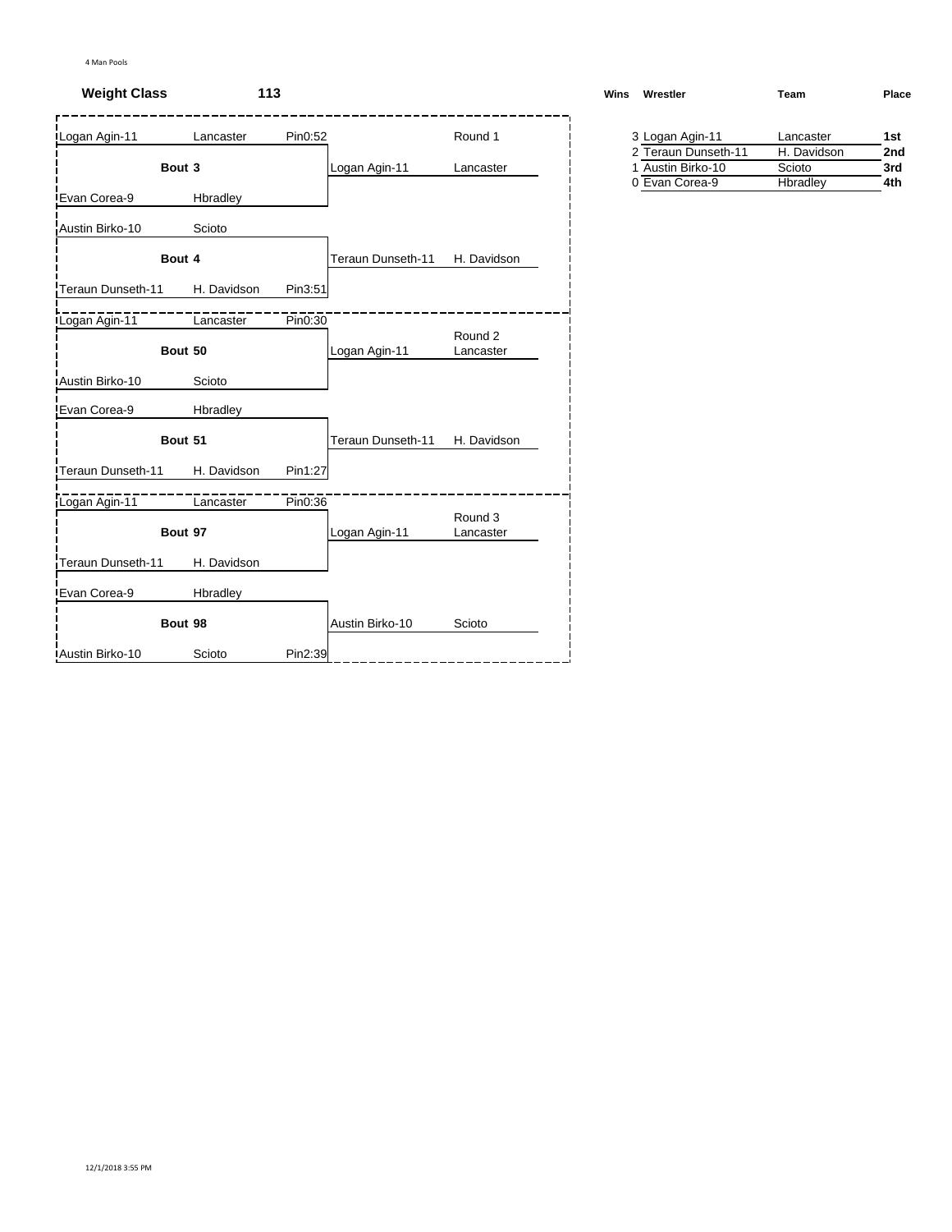# **Weight Class 113**

| Logan Agin-11     | Lancaster   | Pin0:52 |                   | Round 1              |  | 3 Logan Agin-11 |                                          | Lancaster             |
|-------------------|-------------|---------|-------------------|----------------------|--|-----------------|------------------------------------------|-----------------------|
| Bout 3            |             |         | Logan Agin-11     | Lancaster            |  |                 | 2 Teraun Dunseth-11<br>1 Austin Birko-10 | H. Davidson<br>Scioto |
|                   |             |         |                   |                      |  | 0 Evan Corea-9  |                                          | Hbradley              |
| Evan Corea-9      | Hbradley    |         |                   |                      |  |                 |                                          |                       |
| Austin Birko-10   | Scioto      |         |                   |                      |  |                 |                                          |                       |
| Bout 4            |             |         | Teraun Dunseth-11 | H. Davidson          |  |                 |                                          |                       |
| Teraun Dunseth-11 | H. Davidson | Pin3:51 |                   |                      |  |                 |                                          |                       |
| Logan Agin-11     | Lancaster   | Pin0:30 |                   | Round 2              |  |                 |                                          |                       |
| Bout 50           |             |         | Logan Agin-11     | Lancaster            |  |                 |                                          |                       |
| Austin Birko-10   | Scioto      |         |                   |                      |  |                 |                                          |                       |
| Evan Corea-9      | Hbradley    |         |                   |                      |  |                 |                                          |                       |
| Bout 51           |             |         | Teraun Dunseth-11 | H. Davidson          |  |                 |                                          |                       |
| Teraun Dunseth-11 | H. Davidson | Pin1:27 |                   |                      |  |                 |                                          |                       |
| Logan Agin-11     | Lancaster   | Pin0:36 |                   |                      |  |                 |                                          |                       |
| Bout 97           |             |         | Logan Agin-11     | Round 3<br>Lancaster |  |                 |                                          |                       |
| Teraun Dunseth-11 | H. Davidson |         |                   |                      |  |                 |                                          |                       |
| Evan Corea-9      | Hbradley    |         |                   |                      |  |                 |                                          |                       |
| Bout 98           |             |         | Austin Birko-10   | Scioto               |  |                 |                                          |                       |
| Austin Birko-10   | Scioto      | Pin2:39 |                   |                      |  |                 |                                          |                       |

| Wins | Wrestler            | Team        | Place |
|------|---------------------|-------------|-------|
|      | 3 Logan Agin-11     | Lancaster   | 1st   |
|      | 2 Teraun Dunseth-11 | H. Davidson | 2nd   |

| Scioto   |   |
|----------|---|
| Hbradley |   |
|          |   |
|          | . |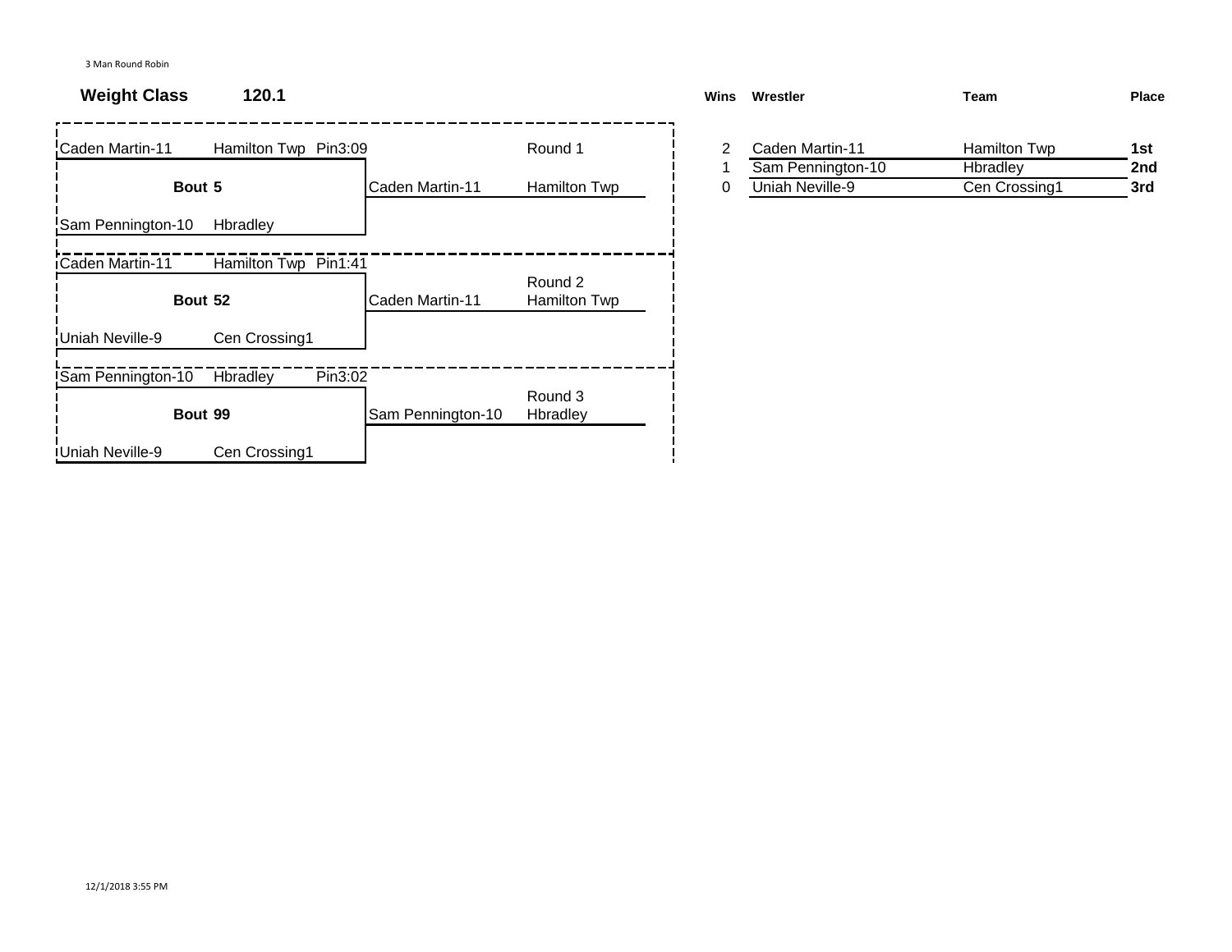# **Weight Class 120.1**

| Caden Martin-11          | Hamilton Twp Pin3:09 |                   | Round 1                 | 2 | Caden Martin-11   | Hamilton Twp  | 1st |
|--------------------------|----------------------|-------------------|-------------------------|---|-------------------|---------------|-----|
|                          |                      |                   |                         |   | Sam Pennington-10 | Hbradley      | 2nc |
| Bout 5                   |                      | Caden Martin-11   | Hamilton Twp            | 0 | Uniah Neville-9   | Cen Crossing1 | 3rd |
| Sam Pennington-10        | Hbradley             |                   |                         |   |                   |               |     |
| Caden Martin-11          | Hamilton Twp Pin1:41 |                   |                         |   |                   |               |     |
|                          | Bout 52              | Caden Martin-11   | Round 2<br>Hamilton Twp |   |                   |               |     |
| Uniah Neville-9          | Cen Crossing1        |                   |                         |   |                   |               |     |
| <b>Sam Pennington-10</b> | Pin3:02<br>Hbradley  |                   |                         |   |                   |               |     |
|                          | Bout 99              | Sam Pennington-10 | Round 3<br>Hbradley     |   |                   |               |     |
| <b>I</b> Uniah Neville-9 | Cen Crossing1        |                   |                         |   |                   |               |     |

| <b>Wins</b> | Wrestler          | Team          | <b>Place</b> |
|-------------|-------------------|---------------|--------------|
|             | Caden Martin-11   | Hamilton Twp  | 1st          |
|             | Sam Pennington-10 | Hbradley      | 2nd          |
|             | Uniah Neville-9   | Cen Crossing1 | 3rd          |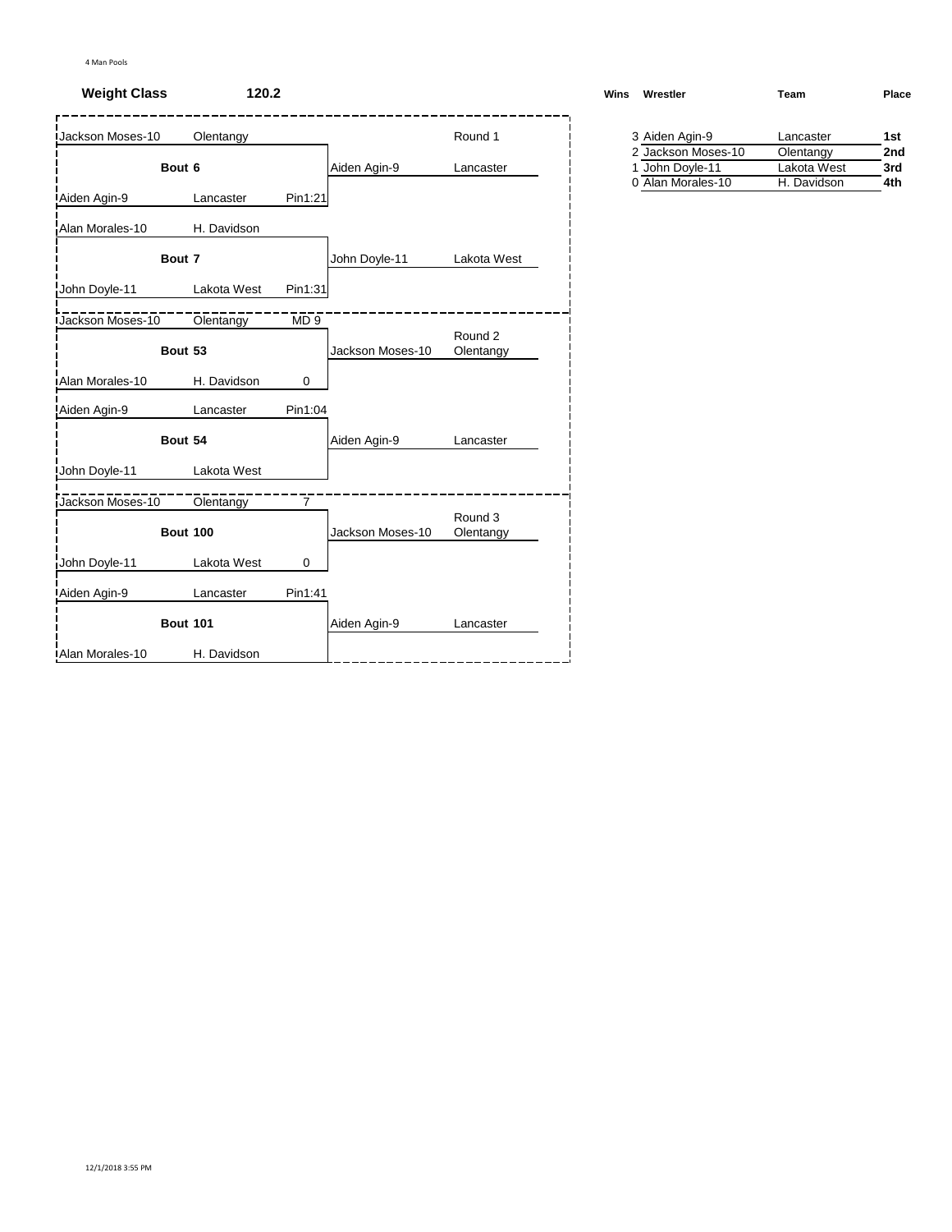# **Weight Class 120.2**

| <b>Jackson Moses-10</b> | Olentangy       |                |                  | Round 1              | 3 Aiden Agin-9                        | Lancaster                |
|-------------------------|-----------------|----------------|------------------|----------------------|---------------------------------------|--------------------------|
|                         | Bout 6          |                | Aiden Agin-9     | Lancaster            | 2 Jackson Moses-10<br>1 John Doyle-11 | Olentangy<br>Lakota West |
| Aiden Agin-9            | Lancaster       | Pin1:21        |                  |                      | 0 Alan Morales-10                     | H. Davidson              |
| Alan Morales-10         | H. Davidson     |                |                  |                      |                                       |                          |
|                         | Bout 7          |                | John Doyle-11    | Lakota West          |                                       |                          |
| John Doyle-11           | Lakota West     | Pin1:31        |                  |                      |                                       |                          |
| Jackson Moses-10        | Olentangy       | MD9            |                  |                      |                                       |                          |
|                         | Bout 53         |                | Jackson Moses-10 | Round 2<br>Olentangy |                                       |                          |
| Alan Morales-10         | H. Davidson     | 0              |                  |                      |                                       |                          |
| Aiden Agin-9            | Lancaster       | Pin1:04        |                  |                      |                                       |                          |
|                         | Bout 54         |                | Aiden Agin-9     | Lancaster            |                                       |                          |
| John Doyle-11           | Lakota West     |                |                  |                      |                                       |                          |
| Jackson Moses-10        | Olentangy       | $\overline{7}$ |                  |                      |                                       |                          |
|                         | <b>Bout 100</b> |                | Jackson Moses-10 | Round 3<br>Olentangy |                                       |                          |
| John Doyle-11           | Lakota West     | 0              |                  |                      |                                       |                          |
| Aiden Agin-9            | Lancaster       | Pin1:41        |                  |                      |                                       |                          |
|                         | <b>Bout 101</b> |                | Aiden Agin-9     | Lancaster            |                                       |                          |
| Alan Morales-10         | H. Davidson     |                |                  |                      |                                       |                          |

| Wrestler<br>Wins   | Team      | Place |
|--------------------|-----------|-------|
| 3 Aiden Agin-9     | Lancaster | 1st   |
| 2 Jackson Moses-10 | Olentangy | 2nd   |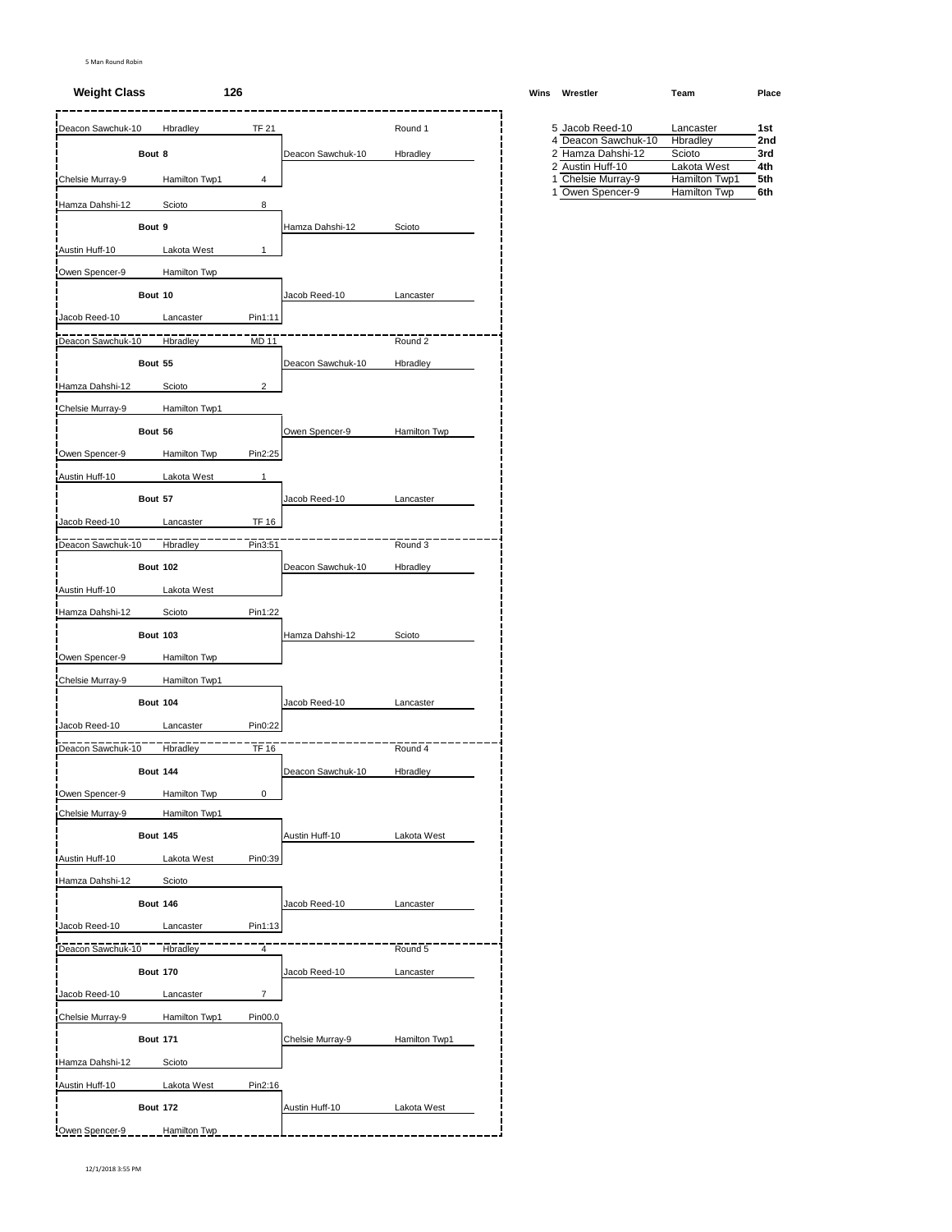#### **Weight Class 126 Wins Wrestler Team Place**

| Deacon Sawchuk-10 |                 | Hbradley            | <b>TF 21</b>            |                   | Round 1       | 5 Jacob Reed-10                        |                     | Lancaster                     | 1st        |
|-------------------|-----------------|---------------------|-------------------------|-------------------|---------------|----------------------------------------|---------------------|-------------------------------|------------|
|                   | Bout 8          |                     |                         | Deacon Sawchuk-10 | Hbradley      | 2 Hamza Dahshi-12                      | 4 Deacon Sawchuk-10 | Hbradley<br>Scioto            | 2no<br>3rd |
|                   |                 |                     |                         |                   |               | 2 Austin Huff-10                       |                     | Lakota West                   | 4th        |
| Chelsie Murray-9  |                 | Hamilton Twp1       | 4                       |                   |               | 1 Chelsie Murray-9<br>1 Owen Spencer-9 |                     | Hamilton Twp1<br>Hamilton Twp | 5th<br>6th |
| Hamza Dahshi-12   |                 | Scioto              | 8                       |                   |               |                                        |                     |                               |            |
|                   | Bout 9          |                     |                         | Hamza Dahshi-12   | Scioto        |                                        |                     |                               |            |
| Austin Huff-10    |                 | Lakota West         | 1                       |                   |               |                                        |                     |                               |            |
| Owen Spencer-9    |                 | Hamilton Twp        |                         |                   |               |                                        |                     |                               |            |
|                   | Bout 10         |                     |                         | Jacob Reed-10     | Lancaster     |                                        |                     |                               |            |
| Jacob Reed-10     |                 | Lancaster           | Pin1:11                 |                   |               |                                        |                     |                               |            |
| Deacon Sawchuk-10 |                 | Hbradley            | MD 11                   |                   | Round 2       |                                        |                     |                               |            |
|                   |                 |                     |                         |                   |               |                                        |                     |                               |            |
|                   | Bout 55         |                     |                         | Deacon Sawchuk-10 | Hbradley      |                                        |                     |                               |            |
| Hamza Dahshi-12   |                 | Scioto              | $\overline{\mathbf{c}}$ |                   |               |                                        |                     |                               |            |
| Chelsie Murray-9  |                 | Hamilton Twp1       |                         |                   |               |                                        |                     |                               |            |
|                   | Bout 56         |                     |                         | Owen Spencer-9    | Hamilton Twp  |                                        |                     |                               |            |
| Owen Spencer-9    |                 | Hamilton Twp        | Pin2:25                 |                   |               |                                        |                     |                               |            |
| Austin Huff-10    |                 | Lakota West         | $\mathbf{1}$            |                   |               |                                        |                     |                               |            |
|                   | Bout 57         |                     |                         | Jacob Reed-10     | Lancaster     |                                        |                     |                               |            |
| Jacob Reed-10     |                 | Lancaster           | <b>TF 16</b>            |                   |               |                                        |                     |                               |            |
| Deacon Sawchuk-10 |                 | Hbradley            | Pin3:51                 |                   | Round 3       |                                        |                     |                               |            |
|                   |                 |                     |                         |                   |               |                                        |                     |                               |            |
|                   | <b>Bout 102</b> |                     |                         | Deacon Sawchuk-10 | Hbradley      |                                        |                     |                               |            |
| Austin Huff-10    |                 | Lakota West         |                         |                   |               |                                        |                     |                               |            |
| Hamza Dahshi-12   |                 | Scioto              | Pin1:22                 |                   |               |                                        |                     |                               |            |
|                   | <b>Bout 103</b> |                     |                         | Hamza Dahshi-12   | Scioto        |                                        |                     |                               |            |
| Owen Spencer-9    |                 | <b>Hamilton Twp</b> |                         |                   |               |                                        |                     |                               |            |
| Chelsie Murray-9  |                 | Hamilton Twp1       |                         |                   |               |                                        |                     |                               |            |
|                   | <b>Bout 104</b> |                     |                         | Jacob Reed-10     | Lancaster     |                                        |                     |                               |            |
| Jacob Reed-10     |                 | Lancaster           | Pin0:22                 |                   |               |                                        |                     |                               |            |
| Deacon Sawchuk-10 |                 | Hbradley            | TF 16                   |                   | Round 4       |                                        |                     |                               |            |
|                   |                 |                     |                         |                   |               |                                        |                     |                               |            |
|                   | <b>Bout 144</b> |                     |                         | Deacon Sawchuk-10 | Hbradley      |                                        |                     |                               |            |
| Owen Spencer-9    |                 | Hamilton Twp        | 0                       |                   |               |                                        |                     |                               |            |
| Chelsie Murray-9  |                 | Hamilton Twp1       |                         |                   |               |                                        |                     |                               |            |
|                   | <b>Bout 145</b> |                     |                         | Austin Huff-10    | Lakota West   |                                        |                     |                               |            |
| Austin Huff-10    |                 | Lakota West         | Pin0:39                 |                   |               |                                        |                     |                               |            |
| Hamza Dahshi-12   |                 | Scioto              |                         |                   |               |                                        |                     |                               |            |
|                   | <b>Bout 146</b> |                     |                         | Jacob Reed-10     | Lancaster     |                                        |                     |                               |            |
| Jacob Reed-10     |                 | Lancaster           | Pin1:13                 |                   |               |                                        |                     |                               |            |
| Deacon Sawchuk-10 |                 | <b>Hbradley</b>     | $\overline{4}$          |                   | Round 5       |                                        |                     |                               |            |
|                   | <b>Bout 170</b> |                     |                         | Jacob Reed-10     | Lancaster     |                                        |                     |                               |            |
|                   |                 |                     |                         |                   |               |                                        |                     |                               |            |
| Jacob Reed-10     |                 | Lancaster           | $\overline{7}$          |                   |               |                                        |                     |                               |            |
| Chelsie Murray-9  |                 | Hamilton Twp1       | Pin00.0                 |                   |               |                                        |                     |                               |            |
|                   | <b>Bout 171</b> |                     |                         | Chelsie Murray-9  | Hamilton Twp1 |                                        |                     |                               |            |
| Hamza Dahshi-12   |                 | Scioto              |                         |                   |               |                                        |                     |                               |            |
| Austin Huff-10    |                 | Lakota West         | Pin2:16                 |                   |               |                                        |                     |                               |            |
|                   | <b>Bout 172</b> |                     |                         | Austin Huff-10    | Lakota West   |                                        |                     |                               |            |
| Owen Spencer-9    |                 | Hamilton Twp        |                         |                   |               |                                        |                     |                               |            |

| 5 Jacob Reed-10     | Lancaster     | 1st             |
|---------------------|---------------|-----------------|
| 4 Deacon Sawchuk-10 | Hbradley      | 2 <sub>nd</sub> |
| 2 Hamza Dahshi-12   | Scioto        | 3rd             |
| 2 Austin Huff-10    | Lakota West   | 4th             |
| 1 Chelsie Murray-9  | Hamilton Twp1 | 5th             |
| 1 Owen Spencer-9    | Hamilton Twp  | 6th             |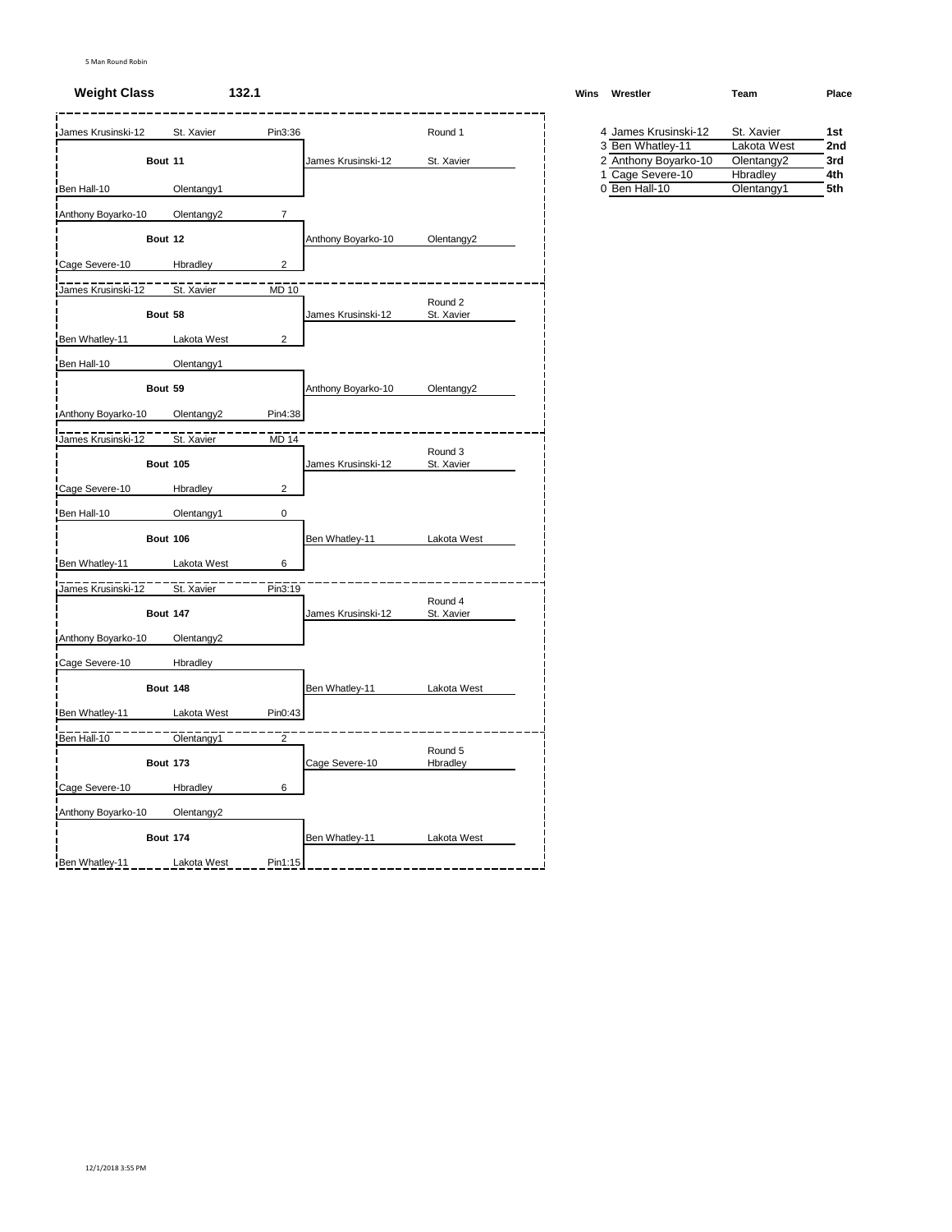#### **Weight Class 132.1 Winsbury <b>Winsbury Winsbury Winsbury Winsbury Winsbury Advisors Winsbury Winsbury**

| James Krusinski-12        | St. Xavier             | Pin3:36                 |                    | Round 1               | 4 James Krusinski-12              | St. Xavier |             | 1st        |
|---------------------------|------------------------|-------------------------|--------------------|-----------------------|-----------------------------------|------------|-------------|------------|
|                           |                        |                         |                    |                       | 3 Ben Whatley-11                  |            | Lakota West | 2nc        |
|                           | Bout 11                |                         | James Krusinski-12 | St. Xavier            | 2 Anthony Boyarko-10              |            | Olentangy2  | 3rd        |
| Ben Hall-10               | Olentangy1             |                         |                    |                       | 1 Cage Severe-10<br>0 Ben Hall-10 | Hbradley   | Olentangy1  | 4th<br>5th |
|                           |                        |                         |                    |                       |                                   |            |             |            |
| Anthony Boyarko-10        | Olentangy2             | $\overline{7}$          |                    |                       |                                   |            |             |            |
|                           | Bout 12                |                         | Anthony Boyarko-10 | Olentangy2            |                                   |            |             |            |
| Cage Severe-10            | Hbradley               | $\overline{\mathbf{c}}$ |                    |                       |                                   |            |             |            |
| James Krusinski-12        | St. Xavier             | <b>MD 10</b>            |                    |                       |                                   |            |             |            |
|                           | Bout 58                |                         | James Krusinski-12 | Round 2<br>St. Xavier |                                   |            |             |            |
|                           |                        |                         |                    |                       |                                   |            |             |            |
| Ben Whatley-11            | Lakota West            | $\overline{2}$          |                    |                       |                                   |            |             |            |
| Ben Hall-10               | Olentangy1             |                         |                    |                       |                                   |            |             |            |
|                           | Bout 59                |                         | Anthony Boyarko-10 | Olentangy2            |                                   |            |             |            |
| Anthony Boyarko-10        | Olentangy <sub>2</sub> | Pin4:38                 |                    |                       |                                   |            |             |            |
| <b>James Krusinski-12</b> | St. Xavier             | MD 14                   |                    |                       |                                   |            |             |            |
|                           |                        |                         |                    | Round 3               |                                   |            |             |            |
|                           | <b>Bout 105</b>        |                         | James Krusinski-12 | St. Xavier            |                                   |            |             |            |
| Cage Severe-10            | Hbradley               | $\overline{2}$          |                    |                       |                                   |            |             |            |
| Ben Hall-10               | Olentangy1             | 0                       |                    |                       |                                   |            |             |            |
|                           | <b>Bout 106</b>        |                         | Ben Whatley-11     | Lakota West           |                                   |            |             |            |
| Ben Whatley-11            | Lakota West            | 6                       |                    |                       |                                   |            |             |            |
|                           |                        |                         |                    |                       |                                   |            |             |            |
| James Krusinski-12        | St. Xavier             | Pin3:19                 |                    | Round 4               |                                   |            |             |            |
|                           | <b>Bout 147</b>        |                         | James Krusinski-12 | St. Xavier            |                                   |            |             |            |
| Anthony Boyarko-10        | Olentangy2             |                         |                    |                       |                                   |            |             |            |
| Cage Severe-10            | Hbradley               |                         |                    |                       |                                   |            |             |            |
|                           |                        |                         |                    |                       |                                   |            |             |            |
|                           | <b>Bout 148</b>        |                         | Ben Whatley-11     | Lakota West           |                                   |            |             |            |
| Ben Whatley-11            | Lakota West            | Pin0:43                 |                    |                       |                                   |            |             |            |
| Ben Hall-10               | Olentangy1             | $\overline{2}$          |                    |                       |                                   |            |             |            |
|                           | <b>Bout 173</b>        |                         | Cage Severe-10     | Round 5<br>Hbradley   |                                   |            |             |            |
| Cage Severe-10            | Hbradley               | 6                       |                    |                       |                                   |            |             |            |
|                           |                        |                         |                    |                       |                                   |            |             |            |
| Anthony Boyarko-10        | Olentangy <sub>2</sub> |                         |                    |                       |                                   |            |             |            |
|                           | <b>Bout 174</b>        |                         | Ben Whatley-11     | Lakota West           |                                   |            |             |            |
| Ben Whatley-11            | Lakota West            | Pin1:15                 |                    |                       |                                   |            |             |            |

| Vins | Wrestler             | Team                   | Place |
|------|----------------------|------------------------|-------|
|      | 4 James Krusinski-12 | St. Xavier             | 1st   |
|      | 3 Ben Whatley-11     | Lakota West            | 2nd   |
|      | 2 Anthony Boyarko-10 | Olentangy <sub>2</sub> | 3rd   |
|      | 1 Cage Severe-10     | Hbradley               | 4th   |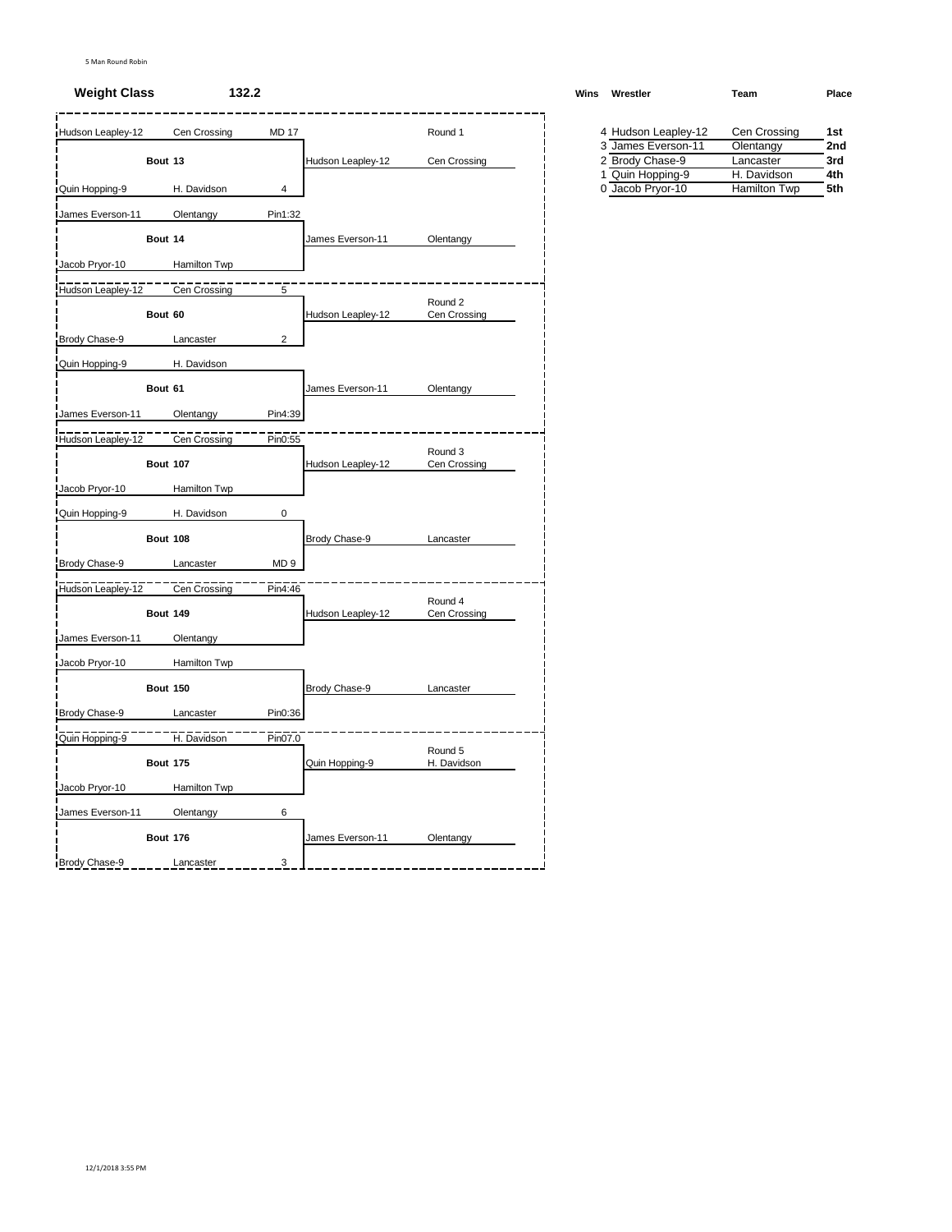#### **Weight Class 132.2 Winsbury <b>Winsbury <b>Winsbury Winsbury Winsbury Winsbury Winsbury**

| Hudson Leapley-12       |                 | Cen Crossing | <b>MD 17</b>    |                   | Round 1                 | 4 Hudson Leapley-12 | Cen Crossing | 1st |
|-------------------------|-----------------|--------------|-----------------|-------------------|-------------------------|---------------------|--------------|-----|
|                         |                 |              |                 |                   |                         | 3 James Everson-11  | Olentangy    | 2nc |
|                         | Bout 13         |              |                 | Hudson Leapley-12 | Cen Crossing            | 2 Brody Chase-9     | Lancaster    | 3rd |
|                         |                 |              |                 |                   |                         | 1 Quin Hopping-9    | H. Davidson  | 4th |
| Quin Hopping-9          |                 | H. Davidson  | 4               |                   |                         | 0 Jacob Pryor-10    | Hamilton Twp | 5th |
| <b>James Everson-11</b> |                 | Olentangy    | Pin1:32         |                   |                         |                     |              |     |
|                         | Bout 14         |              |                 | James Everson-11  | Olentangy               |                     |              |     |
| Jacob Pryor-10          |                 | Hamilton Twp |                 |                   |                         |                     |              |     |
| Hudson Leapley-12       |                 | Cen Crossing | 5               |                   |                         |                     |              |     |
|                         | Bout 60         |              |                 | Hudson Leapley-12 | Round 2<br>Cen Crossing |                     |              |     |
| Brody Chase-9           |                 | Lancaster    | $\overline{2}$  |                   |                         |                     |              |     |
| Quin Hopping-9          |                 | H. Davidson  |                 |                   |                         |                     |              |     |
|                         | Bout 61         |              |                 | James Everson-11  | Olentangy               |                     |              |     |
| James Everson-11        |                 | Olentangy    | Pin4:39         |                   |                         |                     |              |     |
| Hudson Leapley-12       |                 | Cen Crossing | Pin0:55         |                   |                         |                     |              |     |
|                         | <b>Bout 107</b> |              |                 | Hudson Leapley-12 | Round 3<br>Cen Crossing |                     |              |     |
| Jacob Pryor-10          |                 | Hamilton Twp |                 |                   |                         |                     |              |     |
| Quin Hopping-9          |                 | H. Davidson  | 0               |                   |                         |                     |              |     |
|                         | <b>Bout 108</b> |              |                 | Brody Chase-9     | Lancaster               |                     |              |     |
| Brody Chase-9           |                 | Lancaster    | MD <sub>9</sub> |                   |                         |                     |              |     |
| Hudson Leapley-12       |                 | Cen Crossing | Pin4:46         |                   |                         |                     |              |     |
|                         | <b>Bout 149</b> |              |                 | Hudson Leapley-12 | Round 4<br>Cen Crossing |                     |              |     |
| James Everson-11        |                 | Olentangy    |                 |                   |                         |                     |              |     |
| Jacob Pryor-10          |                 | Hamilton Twp |                 |                   |                         |                     |              |     |
|                         | <b>Bout 150</b> |              |                 | Brody Chase-9     | Lancaster               |                     |              |     |
| Brody Chase-9           |                 | Lancaster    | Pin0:36         |                   |                         |                     |              |     |
| Quin Hopping-9          |                 | H. Davidson  | Pin07.0         |                   |                         |                     |              |     |
|                         | <b>Bout 175</b> |              |                 | Quin Hopping-9    | Round 5<br>H. Davidson  |                     |              |     |
| Jacob Pryor-10          |                 | Hamilton Twp |                 |                   |                         |                     |              |     |
| James Everson-11        |                 | Olentangy    | 6               |                   |                         |                     |              |     |
|                         | <b>Bout 176</b> |              |                 | James Everson-11  | Olentangy               |                     |              |     |
| Brody Chase-9           |                 | Lancaster    | 3               |                   |                         |                     |              |     |
|                         |                 |              |                 |                   |                         |                     |              |     |

| Vins | Wrestler            | Team         | Place |
|------|---------------------|--------------|-------|
|      | 4 Hudson Leapley-12 | Cen Crossing | 1st   |
|      | 3 James Everson-11  | Olentangy    | 2nd   |
|      | 2 Brody Chase-9     | Lancaster    | 3rd   |
|      | 1 Quin Hopping-9    | H. Davidson  | 4th   |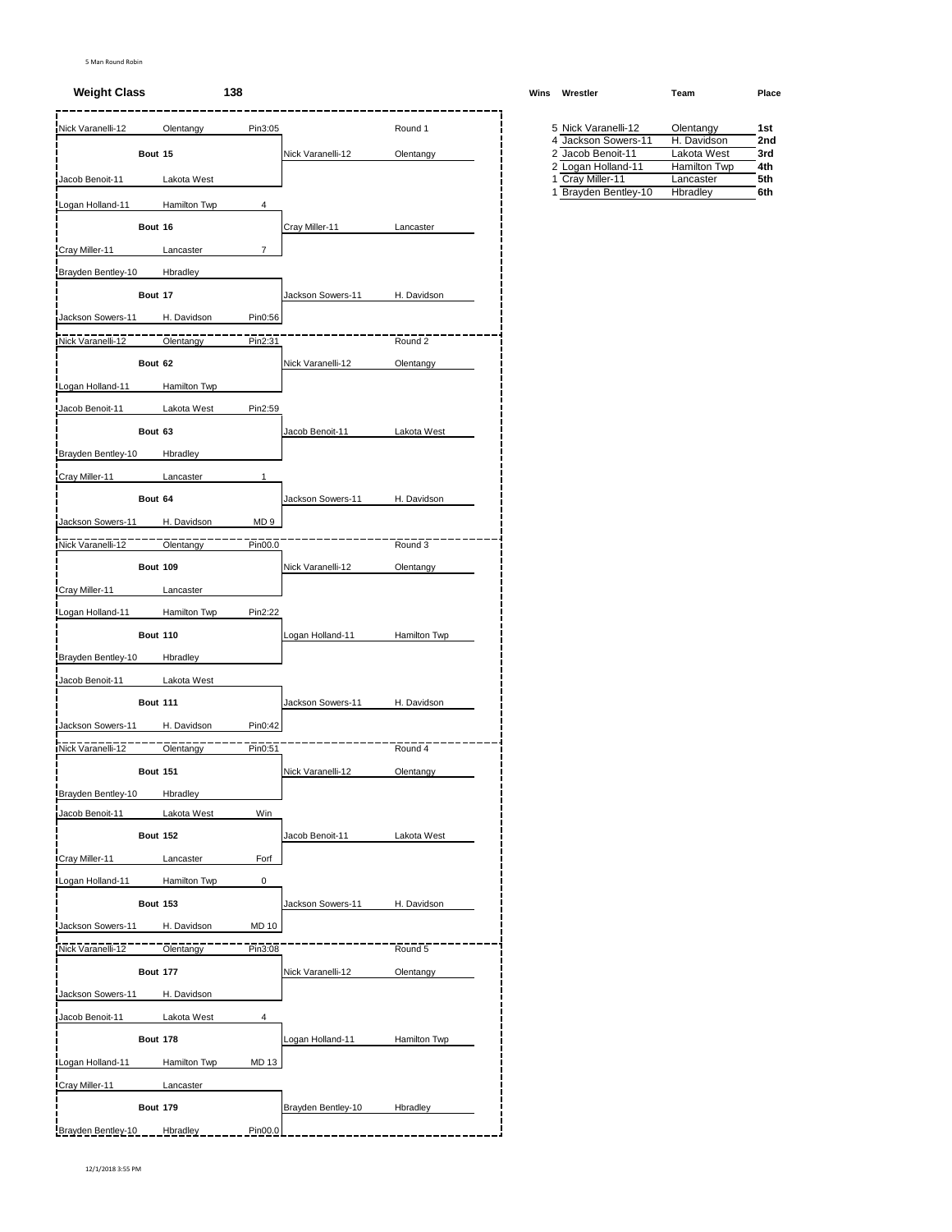#### **Weight Class 138 Wins Wrestler Team Place**

| Nick Varanelli-12  | Olentangy       | Pin3:05         |                    | Round 1      | 5 Nick Varanelli-12                      | Olentangy                        | 1st        |
|--------------------|-----------------|-----------------|--------------------|--------------|------------------------------------------|----------------------------------|------------|
|                    | Bout 15         |                 | Nick Varanelli-12  | Olentangy    | 4 Jackson Sowers-11<br>2 Jacob Benoit-11 | H. Davidson<br>Lakota West       | 2nc<br>3rd |
| Jacob Benoit-11    | Lakota West     |                 |                    |              | 2 Logan Holland-11<br>1 Cray Miller-11   | <b>Hamilton Twp</b><br>Lancaster | 4th<br>5th |
|                    |                 |                 |                    |              | 1 Brayden Bentley-10                     | Hbradley                         | 6th        |
| Logan Holland-11   | Hamilton Twp    | 4               |                    |              |                                          |                                  |            |
|                    | Bout 16         |                 | Cray Miller-11     | Lancaster    |                                          |                                  |            |
| Cray Miller-11     | Lancaster       | $\overline{7}$  |                    |              |                                          |                                  |            |
| Brayden Bentley-10 | Hbradley        |                 |                    |              |                                          |                                  |            |
|                    | Bout 17         |                 | Jackson Sowers-11  | H. Davidson  |                                          |                                  |            |
| Jackson Sowers-11  | H. Davidson     | Pin0:56         |                    |              |                                          |                                  |            |
| Nick Varanelli-12  | Olentangy       | Pin2:31         |                    | Round 2      |                                          |                                  |            |
|                    | Bout 62         |                 | Nick Varanelli-12  | Olentangy    |                                          |                                  |            |
| Logan Holland-11   | Hamilton Twp    |                 |                    |              |                                          |                                  |            |
| Jacob Benoit-11    | Lakota West     | Pin2:59         |                    |              |                                          |                                  |            |
|                    | Bout 63         |                 | Jacob Benoit-11    | Lakota West  |                                          |                                  |            |
| Brayden Bentley-10 | Hbradley        |                 |                    |              |                                          |                                  |            |
| Cray Miller-11     | Lancaster       | 1               |                    |              |                                          |                                  |            |
|                    | Bout 64         |                 | Jackson Sowers-11  | H. Davidson  |                                          |                                  |            |
| Jackson Sowers-11  | H. Davidson     | MD <sub>9</sub> |                    |              |                                          |                                  |            |
|                    |                 |                 |                    |              |                                          |                                  |            |
| Nick Varanelli-12  | Olentangy       | Pin00.0         |                    | Round 3      |                                          |                                  |            |
|                    | <b>Bout 109</b> |                 | Nick Varanelli-12  | Olentangy    |                                          |                                  |            |
| Cray Miller-11     | Lancaster       |                 |                    |              |                                          |                                  |            |
| Logan Holland-11   | Hamilton Twp    | Pin2:22         |                    |              |                                          |                                  |            |
|                    | <b>Bout 110</b> |                 | Logan Holland-11   | Hamilton Twp |                                          |                                  |            |
| Brayden Bentley-10 | Hbradley        |                 |                    |              |                                          |                                  |            |
| Jacob Benoit-11    | Lakota West     |                 |                    |              |                                          |                                  |            |
|                    | <b>Bout 111</b> |                 | Jackson Sowers-11  | H. Davidson  |                                          |                                  |            |
| Jackson Sowers-11  | H. Davidson     | Pin0:42         |                    |              |                                          |                                  |            |
| Nick Varanelli-12  | Olentangy       | Pin0:51         |                    | Round 4      |                                          |                                  |            |
|                    | <b>Bout 151</b> |                 | Nick Varanelli-12  | Olentangy    |                                          |                                  |            |
| Brayden Bentley-10 | <b>Hbradley</b> |                 |                    |              |                                          |                                  |            |
| Jacob Benoit-11    | Lakota West     | Win             |                    |              |                                          |                                  |            |
|                    | <b>Bout 152</b> |                 | Jacob Benoit-11    | Lakota West  |                                          |                                  |            |
| Cray Miller-11     | Lancaster       | Forf            |                    |              |                                          |                                  |            |
| Logan Holland-11   | Hamilton Twp    | 0               |                    |              |                                          |                                  |            |
|                    | <b>Bout 153</b> |                 | Jackson Sowers-11  |              |                                          |                                  |            |
|                    |                 |                 |                    | H. Davidson  |                                          |                                  |            |
| Jackson Sowers-11  | H. Davidson     | <b>MD 10</b>    |                    |              |                                          |                                  |            |
| Nick Varanelli-12  | Olentangy       | Pin3:08         |                    | Round 5      |                                          |                                  |            |
|                    | <b>Bout 177</b> |                 | Nick Varanelli-12  | Olentangy    |                                          |                                  |            |
| Jackson Sowers-11  | H. Davidson     |                 |                    |              |                                          |                                  |            |
| Jacob Benoit-11    | Lakota West     | 4               |                    |              |                                          |                                  |            |
|                    | <b>Bout 178</b> |                 | Logan Holland-11   | Hamilton Twp |                                          |                                  |            |
| Logan Holland-11   | Hamilton Twp    | MD 13           |                    |              |                                          |                                  |            |
| Cray Miller-11     | Lancaster       |                 |                    |              |                                          |                                  |            |
|                    | <b>Bout 179</b> |                 | Brayden Bentley-10 | Hbradley     |                                          |                                  |            |
| Brayden Bentley-10 | Hbradley        | Pin00.0         |                    |              |                                          |                                  |            |
|                    |                 |                 |                    |              |                                          |                                  |            |

| 5 Nick Varanelli-12  | Olentangy           | 1st |
|----------------------|---------------------|-----|
| 4 Jackson Sowers-11  | H. Davidson         | 2nd |
| 2 Jacob Benoit-11    | Lakota West         | 3rd |
| 2 Logan Holland-11   | <b>Hamilton Twp</b> | 4th |
| 1 Cray Miller-11     | Lancaster           | 5th |
| 1 Brayden Bentley-10 | Hbradley            | 6th |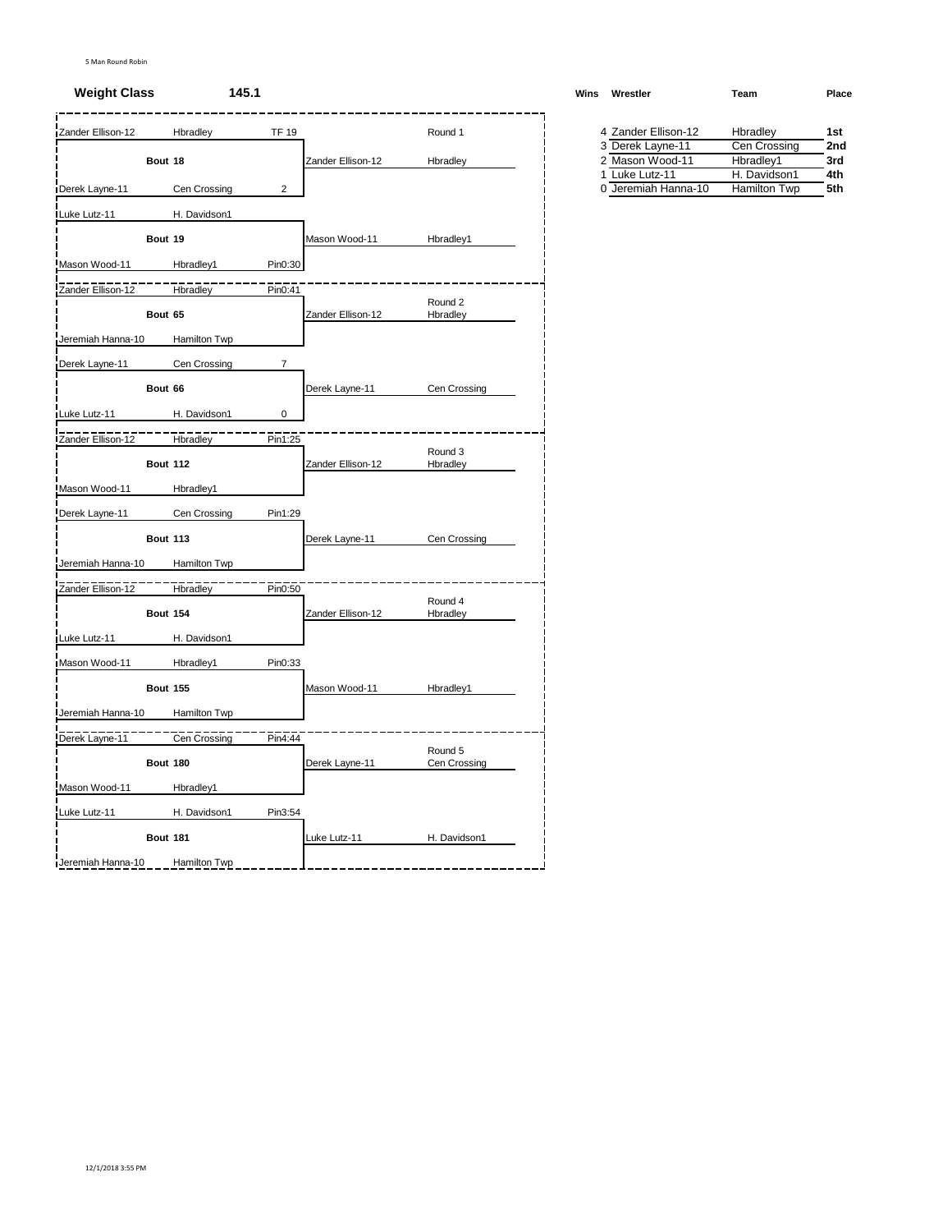#### **Weight Class 145.1 Winsbury <b>Winsbury <b>Winsbury Winsbury Winsbury Winsbury Winsbury Winsbury**

| Zander Ellison-12<br>Bout 18<br>Derek Layne-11<br>Luke Lutz-11<br>Bout 19<br>Mason Wood-11 | Hbradley<br>Cen Crossing<br>H. Davidson1 | <b>TF 19</b><br>$\overline{2}$ | Zander Ellison-12 | Round 1<br>Hbradley     | 4 Zander Ellison-12<br>3 Derek Layne-11<br>2 Mason Wood-11<br>1 Luke Lutz-11 | Hbradley | Cen Crossing<br>Hbradley1 | 1st<br>2nc<br>3rd |
|--------------------------------------------------------------------------------------------|------------------------------------------|--------------------------------|-------------------|-------------------------|------------------------------------------------------------------------------|----------|---------------------------|-------------------|
|                                                                                            |                                          |                                |                   |                         |                                                                              |          |                           |                   |
|                                                                                            |                                          |                                |                   |                         |                                                                              |          |                           |                   |
|                                                                                            |                                          |                                |                   |                         |                                                                              |          | H. Davidson1              | 4th               |
|                                                                                            |                                          |                                |                   |                         | 0 Jeremiah Hanna-10                                                          |          | Hamilton Twp              | 5th               |
|                                                                                            |                                          |                                |                   |                         |                                                                              |          |                           |                   |
|                                                                                            |                                          |                                | Mason Wood-11     | Hbradley1               |                                                                              |          |                           |                   |
|                                                                                            | Hbradley1                                | Pin0:30                        |                   |                         |                                                                              |          |                           |                   |
| Zander Ellison-12                                                                          | Hbradley                                 | Pin0:41                        |                   |                         |                                                                              |          |                           |                   |
| Bout 65                                                                                    |                                          |                                | Zander Ellison-12 | Round 2<br>Hbradley     |                                                                              |          |                           |                   |
| Jeremiah Hanna-10                                                                          | Hamilton Twp                             |                                |                   |                         |                                                                              |          |                           |                   |
| Derek Layne-11                                                                             | Cen Crossing                             | 7                              |                   |                         |                                                                              |          |                           |                   |
| Bout 66                                                                                    |                                          |                                | Derek Layne-11    | Cen Crossing            |                                                                              |          |                           |                   |
| Luke Lutz-11                                                                               | H. Davidson1                             | 0                              |                   |                         |                                                                              |          |                           |                   |
| Zander Ellison-12                                                                          | Hbradley                                 | Pin1:25                        |                   |                         |                                                                              |          |                           |                   |
|                                                                                            | <b>Bout 112</b>                          |                                | Zander Ellison-12 | Round 3<br>Hbradley     |                                                                              |          |                           |                   |
| Mason Wood-11                                                                              | Hbradley1                                |                                |                   |                         |                                                                              |          |                           |                   |
| Derek Layne-11                                                                             | Cen Crossing                             | Pin1:29                        |                   |                         |                                                                              |          |                           |                   |
|                                                                                            | <b>Bout 113</b>                          |                                | Derek Layne-11    | Cen Crossing            |                                                                              |          |                           |                   |
| Jeremiah Hanna-10                                                                          | Hamilton Twp                             |                                |                   |                         |                                                                              |          |                           |                   |
| Zander Ellison-12                                                                          | Hbradley                                 | Pin0:50                        |                   |                         |                                                                              |          |                           |                   |
|                                                                                            | <b>Bout 154</b>                          |                                | Zander Ellison-12 | Round 4<br>Hbradley     |                                                                              |          |                           |                   |
| Luke Lutz-11                                                                               | H. Davidson1                             |                                |                   |                         |                                                                              |          |                           |                   |
| Mason Wood-11                                                                              | Hbradley1                                | Pin0:33                        |                   |                         |                                                                              |          |                           |                   |
|                                                                                            | <b>Bout 155</b>                          |                                | Mason Wood-11     | Hbradley1               |                                                                              |          |                           |                   |
| Jeremiah Hanna-10                                                                          | Hamilton Twp                             |                                |                   |                         |                                                                              |          |                           |                   |
| Derek Layne-11                                                                             | Cen Crossing                             | Pin4:44                        |                   |                         |                                                                              |          |                           |                   |
|                                                                                            | <b>Bout 180</b>                          |                                | Derek Layne-11    | Round 5<br>Cen Crossing |                                                                              |          |                           |                   |
| Mason Wood-11                                                                              | Hbradley1                                |                                |                   |                         |                                                                              |          |                           |                   |
| Luke Lutz-11                                                                               | H. Davidson1                             | Pin3:54                        |                   |                         |                                                                              |          |                           |                   |
|                                                                                            | <b>Bout 181</b>                          |                                | Luke Lutz-11      | H. Davidson1            |                                                                              |          |                           |                   |
| Jeremiah Hanna-10                                                                          |                                          |                                |                   |                         |                                                                              |          |                           |                   |

| Vins | Wrestler            | Team         | Place |
|------|---------------------|--------------|-------|
|      | 4 Zander Ellison-12 | Hbradley     | 1st   |
|      | 3 Derek Layne-11    | Cen Crossing | 2nd   |
|      | 2 Mason Wood-11     | Hbradley1    | 3rd   |
|      | 1 Luke Lutz-11      | H. Davidson1 | 4th   |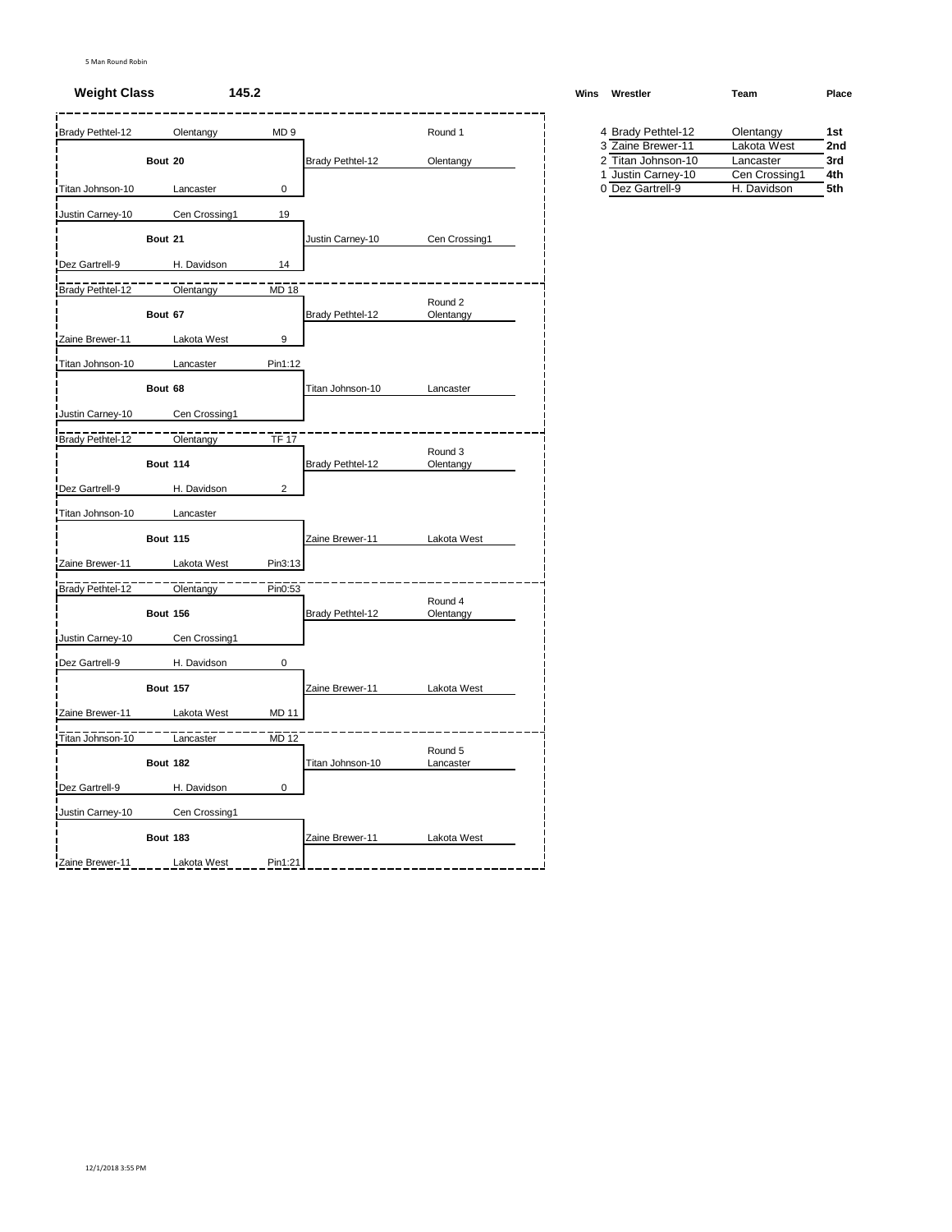#### **Weight Class 145.2 Winsbury <b>Winsbury <b>Winsbury Winsbury Winsbury Winsbury Winsbury**

| Brady Pethtel-12 | Olentangy       | MD <sub>9</sub>         |                  | Round 1              | 4 Brady Pethtel-12 | Olentangy     |  |
|------------------|-----------------|-------------------------|------------------|----------------------|--------------------|---------------|--|
|                  |                 |                         |                  |                      | 3 Zaine Brewer-11  | Lakota West   |  |
|                  | Bout 20         |                         | Brady Pethtel-12 | Olentangy            | 2 Titan Johnson-10 | Lancaster     |  |
|                  |                 |                         |                  |                      | 1 Justin Carney-10 | Cen Crossing1 |  |
| Titan Johnson-10 | Lancaster       | 0                       |                  |                      | 0 Dez Gartrell-9   | H. Davidson   |  |
| Justin Carney-10 | Cen Crossing1   | 19                      |                  |                      |                    |               |  |
|                  | Bout 21         |                         | Justin Carney-10 | Cen Crossing1        |                    |               |  |
| Dez Gartrell-9   | H. Davidson     | 14                      |                  |                      |                    |               |  |
| Brady Pethtel-12 | Olentangy       | MD 18                   |                  |                      |                    |               |  |
|                  | Bout 67         |                         | Brady Pethtel-12 | Round 2<br>Olentangy |                    |               |  |
| Zaine Brewer-11  | Lakota West     | 9                       |                  |                      |                    |               |  |
| Titan Johnson-10 | Lancaster       | Pin1:12                 |                  |                      |                    |               |  |
|                  |                 |                         |                  |                      |                    |               |  |
|                  | Bout 68         |                         | Titan Johnson-10 | Lancaster            |                    |               |  |
| Justin Carney-10 | Cen Crossing1   |                         |                  |                      |                    |               |  |
| Brady Pethtel-12 | Olentangy       | <b>TF 17</b>            |                  |                      |                    |               |  |
|                  | <b>Bout 114</b> |                         | Brady Pethtel-12 | Round 3<br>Olentangy |                    |               |  |
| Dez Gartrell-9   | H. Davidson     | $\overline{\mathbf{c}}$ |                  |                      |                    |               |  |
| Titan Johnson-10 | Lancaster       |                         |                  |                      |                    |               |  |
|                  | <b>Bout 115</b> |                         | Zaine Brewer-11  | Lakota West          |                    |               |  |
| Zaine Brewer-11  | Lakota West     | Pin3:13                 |                  |                      |                    |               |  |
| Brady Pethtel-12 | Olentangy       | Pin0:53                 |                  |                      |                    |               |  |
|                  |                 |                         |                  | Round 4              |                    |               |  |
|                  | <b>Bout 156</b> |                         | Brady Pethtel-12 | Olentangy            |                    |               |  |
| Justin Carney-10 | Cen Crossing1   |                         |                  |                      |                    |               |  |
| Dez Gartrell-9   | H. Davidson     | 0                       |                  |                      |                    |               |  |
|                  | <b>Bout 157</b> |                         | Zaine Brewer-11  | Lakota West          |                    |               |  |
| Zaine Brewer-11  | Lakota West     | <b>MD 11</b>            |                  |                      |                    |               |  |
| Titan Johnson-10 | Lancaster       | <b>MD 12</b>            |                  |                      |                    |               |  |
|                  | <b>Bout 182</b> |                         | Titan Johnson-10 | Round 5<br>Lancaster |                    |               |  |
| Dez Gartrell-9   | H. Davidson     | $\mathbf 0$             |                  |                      |                    |               |  |
|                  |                 |                         |                  |                      |                    |               |  |
| Justin Carney-10 | Cen Crossing1   |                         |                  |                      |                    |               |  |
|                  | <b>Bout 183</b> |                         | Zaine Brewer-11  | Lakota West          |                    |               |  |
| Zaine Brewer-11  | Lakota West     | Pin1:21                 |                  |                      |                    |               |  |

| 'ins | Wrestler           | Team          | Place |  |  |
|------|--------------------|---------------|-------|--|--|
|      |                    |               |       |  |  |
|      | 4 Brady Pethtel-12 | Olentangy     | 1st   |  |  |
|      | 3 Zaine Brewer-11  | Lakota West   | 2nd   |  |  |
|      | 2 Titan Johnson-10 | Lancaster     | 3rd   |  |  |
|      | 1 Justin Carney-10 | Cen Crossing1 | 4th   |  |  |
|      | 0 Dez Gartrell-9   | H. Davidson   | 5th   |  |  |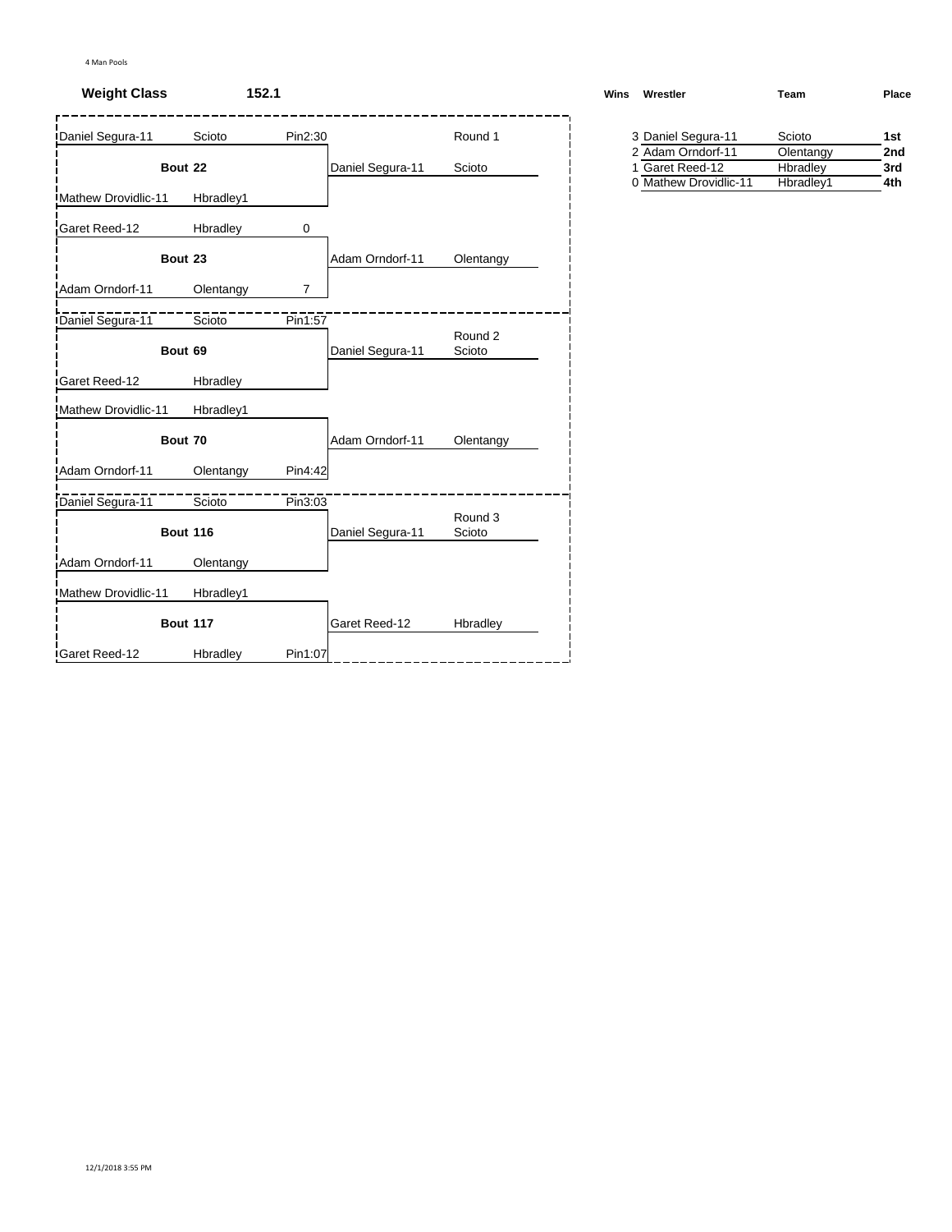# **Weight Class 152.1**

| Daniel Segura-11    | Scioto          | Pin2:30        |                  | Round 1           | 3 Daniel Segura-11                   | Scioto                | 1st        |
|---------------------|-----------------|----------------|------------------|-------------------|--------------------------------------|-----------------------|------------|
|                     | Bout 22         |                | Daniel Segura-11 | Scioto            | 2 Adam Orndorf-11<br>1 Garet Reed-12 | Olentangy<br>Hbradley | 2nc<br>3rd |
|                     |                 |                |                  |                   | 0 Mathew Drovidlic-11                | Hbradley1             | 4th        |
| Mathew Drovidlic-11 | Hbradley1       |                |                  |                   |                                      |                       |            |
| Garet Reed-12       | Hbradley        | 0              |                  |                   |                                      |                       |            |
|                     | Bout 23         |                | Adam Orndorf-11  | Olentangy         |                                      |                       |            |
| Adam Orndorf-11     | Olentangy       | $\overline{7}$ |                  |                   |                                      |                       |            |
| Daniel Segura-11    | Scioto          | Pin1:57        |                  |                   |                                      |                       |            |
|                     | Bout 69         |                | Daniel Segura-11 | Round 2<br>Scioto |                                      |                       |            |
| Garet Reed-12       | Hbradley        |                |                  |                   |                                      |                       |            |
| Mathew Drovidlic-11 | Hbradley1       |                |                  |                   |                                      |                       |            |
|                     | Bout 70         |                | Adam Orndorf-11  | Olentangy         |                                      |                       |            |
| Adam Orndorf-11     | Olentangy       | Pin4:42        |                  |                   |                                      |                       |            |
| Daniel Segura-11    | Scioto          | Pin3:03        |                  |                   |                                      |                       |            |
|                     | <b>Bout 116</b> |                | Daniel Segura-11 | Round 3<br>Scioto |                                      |                       |            |
| Adam Orndorf-11     | Olentangy       |                |                  |                   |                                      |                       |            |
| Mathew Drovidlic-11 | Hbradley1       |                |                  |                   |                                      |                       |            |
|                     | <b>Bout 117</b> |                | Garet Reed-12    | Hbradley          |                                      |                       |            |
| Garet Reed-12       | Hbradley        | Pin1:07        |                  |                   |                                      |                       |            |

| Wins | Wrestler                                  | Team      | Place |
|------|-------------------------------------------|-----------|-------|
|      | 3 Daniel Segura-11                        | Scioto    | 1st   |
|      | 2 Adam Orndorf-11                         | Olentangy | 2nd   |
|      | $\sim$ $\sim$ $\sim$ $\sim$ $\sim$ $\sim$ |           | . .   |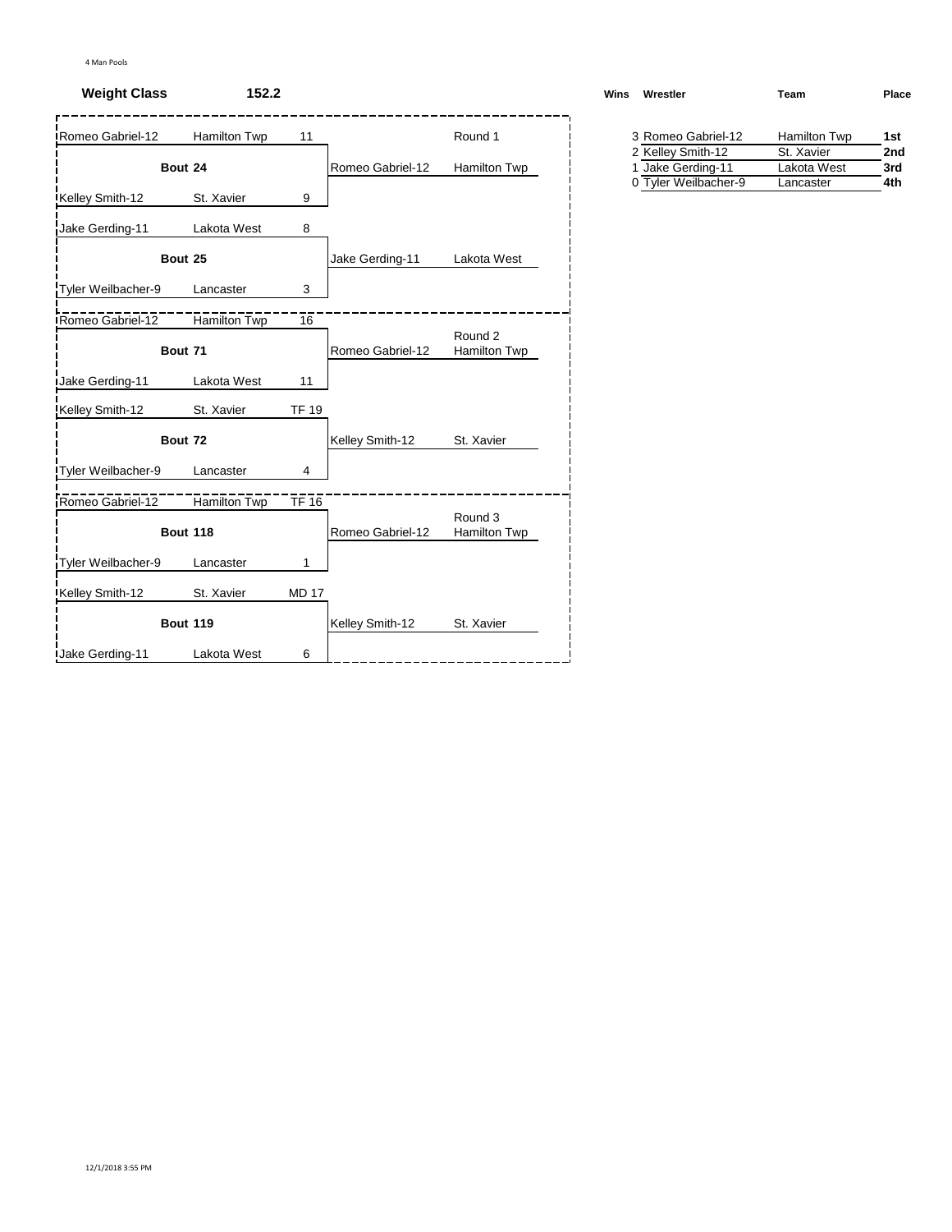## **Weight Class 152.2**

| Romeo Gabriel-12          | Hamilton Twp    | 11           |                  | Round 1                 | 3 Romeo Gabriel-12   | <b>Hamilton Twp</b> | 1st |
|---------------------------|-----------------|--------------|------------------|-------------------------|----------------------|---------------------|-----|
|                           |                 |              |                  |                         | 2 Kelley Smith-12    | St. Xavier          | 2nc |
|                           | Bout 24         |              | Romeo Gabriel-12 | Hamilton Twp            | 1 Jake Gerding-11    | Lakota West         | 3rd |
| Kelley Smith-12           | St. Xavier      | 9            |                  |                         | 0 Tyler Weilbacher-9 | Lancaster           | 4th |
| Jake Gerding-11           | Lakota West     | 8            |                  |                         |                      |                     |     |
|                           | Bout 25         |              | Jake Gerding-11  | Lakota West             |                      |                     |     |
| Tyler Weilbacher-9        | Lancaster       | 3            |                  |                         |                      |                     |     |
| Romeo Gabriel-12          | Hamilton Twp    | 16           |                  |                         |                      |                     |     |
|                           | Bout 71         |              | Romeo Gabriel-12 | Round 2<br>Hamilton Twp |                      |                     |     |
| <b>Jake Gerding-11</b>    | Lakota West     | 11           |                  |                         |                      |                     |     |
| Kelley Smith-12           | St. Xavier      | <b>TF 19</b> |                  |                         |                      |                     |     |
|                           | Bout 72         |              | Kelley Smith-12  | St. Xavier              |                      |                     |     |
| <b>Tyler Weilbacher-9</b> | Lancaster       | 4            |                  |                         |                      |                     |     |
| Romeo Gabriel-12          | Hamilton Twp    | $T$ F 16     |                  |                         |                      |                     |     |
|                           | <b>Bout 118</b> |              | Romeo Gabriel-12 | Round 3<br>Hamilton Twp |                      |                     |     |
| Tyler Weilbacher-9        | Lancaster       | 1            |                  |                         |                      |                     |     |
| Kelley Smith-12           | St. Xavier      | <b>MD 17</b> |                  |                         |                      |                     |     |
|                           | <b>Bout 119</b> |              | Kelley Smith-12  | St. Xavier              |                      |                     |     |
| <b>Jake Gerding-11</b>    | Lakota West     | 6            |                  |                         |                      |                     |     |

| Wrestler<br>Wins   | Team         | Place |  |
|--------------------|--------------|-------|--|
| 3 Romeo Gabriel-12 | Hamilton Twp | 1st   |  |
| 2 Kelley Smith-12  | St. Xavier   | 2nd   |  |

| $-1$ . $0.000$ $y$ $0.0000$ $1 -$ | <u>UU INATIVI</u> | ---- |
|-----------------------------------|-------------------|------|
| 1 Jake Gerding-11                 | Lakota West       | 3rd  |
| 0 Tyler Weilbacher-9              | Lancaster         | 4th  |
|                                   |                   |      |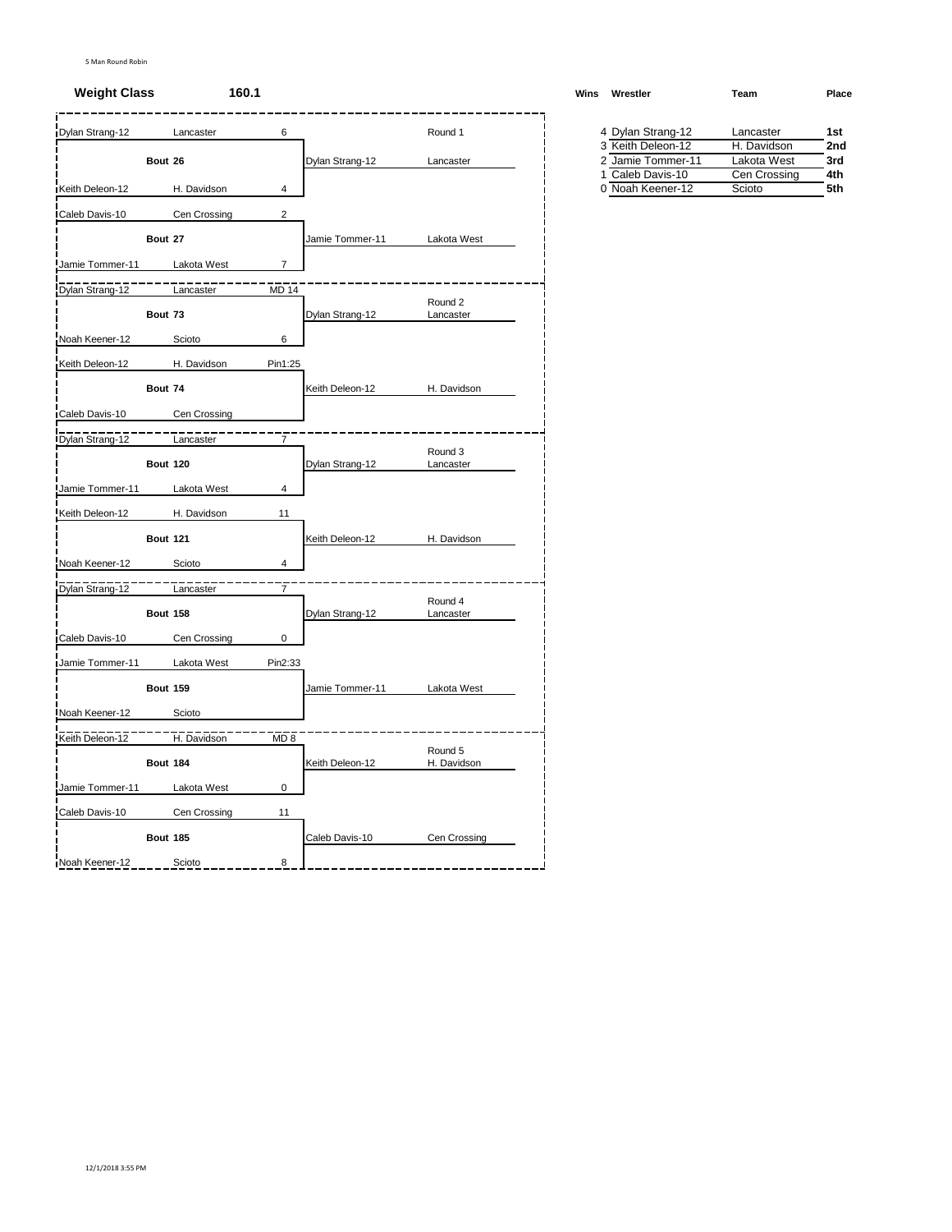#### **Weight Class 160.1 Winsbury <b>Winsbury <b>Winsbury Winsbury Winsbury Winsbury Winsbury Winsbury**

| Dylan Strang-12 |                 | Lancaster    | 6              |                 | Round 1                |  | 4 Dylan Strang-12                    | Lancaster              | 1st        |
|-----------------|-----------------|--------------|----------------|-----------------|------------------------|--|--------------------------------------|------------------------|------------|
|                 |                 |              |                |                 |                        |  | 3 Keith Deleon-12                    | H. Davidson            | 2nc        |
|                 | Bout 26         |              |                | Dylan Strang-12 | Lancaster              |  | 2 Jamie Tommer-11                    | Lakota West            | 3rd        |
| Keith Deleon-12 |                 | H. Davidson  | 4              |                 |                        |  | 1 Caleb Davis-10<br>0 Noah Keener-12 | Cen Crossing<br>Scioto | 4th<br>5th |
|                 |                 |              |                |                 |                        |  |                                      |                        |            |
| Caleb Davis-10  |                 | Cen Crossing | $\overline{2}$ |                 |                        |  |                                      |                        |            |
|                 | Bout 27         |              |                | Jamie Tommer-11 | Lakota West            |  |                                      |                        |            |
| Jamie Tommer-11 |                 | Lakota West  | $\overline{7}$ |                 |                        |  |                                      |                        |            |
|                 |                 |              |                |                 |                        |  |                                      |                        |            |
| Dylan Strang-12 |                 | Lancaster    | <b>MD 14</b>   |                 | Round 2                |  |                                      |                        |            |
|                 | Bout 73         |              |                | Dylan Strang-12 | Lancaster              |  |                                      |                        |            |
| Noah Keener-12  |                 | Scioto       | 6              |                 |                        |  |                                      |                        |            |
|                 |                 |              |                |                 |                        |  |                                      |                        |            |
| Keith Deleon-12 |                 | H. Davidson  | Pin1:25        |                 |                        |  |                                      |                        |            |
|                 | Bout 74         |              |                | Keith Deleon-12 | H. Davidson            |  |                                      |                        |            |
| Caleb Davis-10  |                 | Cen Crossing |                |                 |                        |  |                                      |                        |            |
|                 |                 |              |                |                 |                        |  |                                      |                        |            |
| Dylan Strang-12 |                 | Lancaster    | 7              |                 |                        |  |                                      |                        |            |
|                 | <b>Bout 120</b> |              |                | Dylan Strang-12 | Round 3<br>Lancaster   |  |                                      |                        |            |
|                 |                 |              |                |                 |                        |  |                                      |                        |            |
| Jamie Tommer-11 |                 | Lakota West  | 4              |                 |                        |  |                                      |                        |            |
| Keith Deleon-12 |                 | H. Davidson  | 11             |                 |                        |  |                                      |                        |            |
|                 | <b>Bout 121</b> |              |                | Keith Deleon-12 | H. Davidson            |  |                                      |                        |            |
|                 |                 |              |                |                 |                        |  |                                      |                        |            |
| Noah Keener-12  |                 | Scioto       | 4              |                 |                        |  |                                      |                        |            |
| Dylan Strang-12 |                 | Lancaster    | $\overline{7}$ |                 |                        |  |                                      |                        |            |
|                 | <b>Bout 158</b> |              |                | Dylan Strang-12 | Round 4<br>Lancaster   |  |                                      |                        |            |
|                 |                 |              |                |                 |                        |  |                                      |                        |            |
| Caleb Davis-10  |                 | Cen Crossing | 0              |                 |                        |  |                                      |                        |            |
| Jamie Tommer-11 |                 | Lakota West  | Pin2:33        |                 |                        |  |                                      |                        |            |
|                 | <b>Bout 159</b> |              |                | Jamie Tommer-11 | Lakota West            |  |                                      |                        |            |
|                 |                 |              |                |                 |                        |  |                                      |                        |            |
| Noah Keener-12  |                 | Scioto       |                |                 |                        |  |                                      |                        |            |
| Keith Deleon-12 |                 | H. Davidson  | MD 8           |                 |                        |  |                                      |                        |            |
|                 | <b>Bout 184</b> |              |                | Keith Deleon-12 | Round 5<br>H. Davidson |  |                                      |                        |            |
|                 |                 |              |                |                 |                        |  |                                      |                        |            |
| Jamie Tommer-11 |                 | Lakota West  | $\mathsf 0$    |                 |                        |  |                                      |                        |            |
| Caleb Davis-10  |                 | Cen Crossing | 11             |                 |                        |  |                                      |                        |            |
|                 | <b>Bout 185</b> |              |                | Caleb Davis-10  | Cen Crossing           |  |                                      |                        |            |
|                 |                 |              |                |                 |                        |  |                                      |                        |            |
| Noah Keener-12  |                 | Scioto       | 8              |                 |                        |  |                                      |                        |            |

| ins | Wrestler          | Team         | Place |
|-----|-------------------|--------------|-------|
|     |                   |              |       |
|     | 4 Dylan Strang-12 | Lancaster    | 1st   |
|     | 3 Keith Deleon-12 | H. Davidson  | 2nd   |
|     | 2 Jamie Tommer-11 | Lakota West  | 3rd   |
|     | 1 Caleb Davis-10  | Cen Crossing | 4th   |
|     | 0 Noah Keener-12  | Scioto       | 5th   |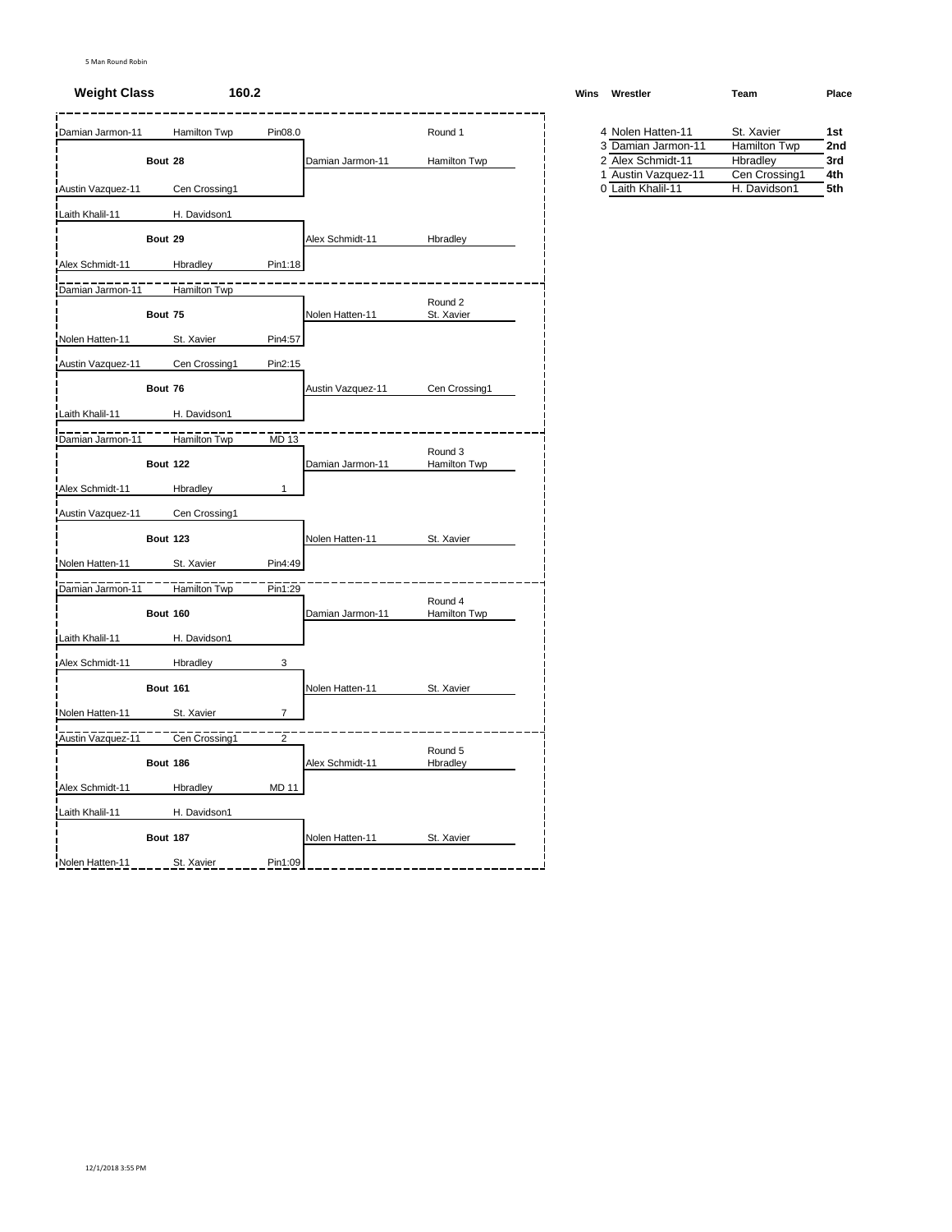| Damian Jarmon-11  |                 | Hamilton Twp  | Pin08.0        |                   | Round 1                 |  | 4 Nolen Hatten-11   | St. Xavier    | 1st |
|-------------------|-----------------|---------------|----------------|-------------------|-------------------------|--|---------------------|---------------|-----|
|                   |                 |               |                |                   |                         |  | 3 Damian Jarmon-11  | Hamilton Twp  | 2nc |
|                   | Bout 28         |               |                | Damian Jarmon-11  | <b>Hamilton Twp</b>     |  | 2 Alex Schmidt-11   | Hbradley      | 3rd |
|                   |                 |               |                |                   |                         |  | 1 Austin Vazquez-11 | Cen Crossing1 | 4th |
| Austin Vazquez-11 |                 | Cen Crossing1 |                |                   |                         |  | 0 Laith Khalil-11   | H. Davidson1  | 5th |
| Laith Khalil-11   |                 | H. Davidson1  |                |                   |                         |  |                     |               |     |
|                   | Bout 29         |               |                | Alex Schmidt-11   | Hbradley                |  |                     |               |     |
| Alex Schmidt-11   |                 | Hbradley      | Pin1:18        |                   |                         |  |                     |               |     |
| Damian Jarmon-11  |                 | Hamilton Twp  |                |                   |                         |  |                     |               |     |
|                   | Bout 75         |               |                | Nolen Hatten-11   | Round 2<br>St. Xavier   |  |                     |               |     |
| Nolen Hatten-11   |                 | St. Xavier    | Pin4:57        |                   |                         |  |                     |               |     |
|                   |                 |               |                |                   |                         |  |                     |               |     |
| Austin Vazquez-11 |                 | Cen Crossing1 | Pin2:15        |                   |                         |  |                     |               |     |
|                   | Bout 76         |               |                | Austin Vazquez-11 | Cen Crossing1           |  |                     |               |     |
| Laith Khalil-11   |                 | H. Davidson1  |                |                   |                         |  |                     |               |     |
| Damian Jarmon-11  |                 | Hamilton Twp  | MD 13          |                   |                         |  |                     |               |     |
|                   | <b>Bout 122</b> |               |                | Damian Jarmon-11  | Round 3<br>Hamilton Twp |  |                     |               |     |
| Alex Schmidt-11   |                 | Hbradley      | $\mathbf{1}$   |                   |                         |  |                     |               |     |
| Austin Vazquez-11 |                 | Cen Crossing1 |                |                   |                         |  |                     |               |     |
|                   | <b>Bout 123</b> |               |                | Nolen Hatten-11   | St. Xavier              |  |                     |               |     |
| Nolen Hatten-11   |                 | St. Xavier    | Pin4:49        |                   |                         |  |                     |               |     |
| Damian Jarmon-11  |                 | Hamilton Twp  | Pin1:29        |                   |                         |  |                     |               |     |
|                   |                 |               |                |                   | Round 4                 |  |                     |               |     |
|                   | <b>Bout 160</b> |               |                | Damian Jarmon-11  | Hamilton Twp            |  |                     |               |     |
| Laith Khalil-11   |                 | H. Davidson1  |                |                   |                         |  |                     |               |     |
| Alex Schmidt-11   |                 | Hbradley      | 3              |                   |                         |  |                     |               |     |
|                   | <b>Bout 161</b> |               |                | Nolen Hatten-11   | St. Xavier              |  |                     |               |     |
| Nolen Hatten-11   |                 | St. Xavier    | 7              |                   |                         |  |                     |               |     |
| Austin Vazquez-11 |                 | Cen Crossing1 | $\overline{2}$ |                   |                         |  |                     |               |     |
|                   | <b>Bout 186</b> |               |                | Alex Schmidt-11   | Round 5<br>Hbradley     |  |                     |               |     |
| Alex Schmidt-11   |                 |               | <b>MD 11</b>   |                   |                         |  |                     |               |     |
|                   |                 | Hbradley      |                |                   |                         |  |                     |               |     |
| Laith Khalil-11   |                 | H. Davidson1  |                |                   |                         |  |                     |               |     |
|                   | <b>Bout 187</b> |               |                | Nolen Hatten-11   | St. Xavier              |  |                     |               |     |
| Nolen Hatten-11   |                 | St. Xavier    | Pin1:09        |                   |                         |  |                     |               |     |

| <b>Weight Class</b> | 160.2         |         |                  |                     | Wins | Wrestler           | Team          | Place |
|---------------------|---------------|---------|------------------|---------------------|------|--------------------|---------------|-------|
| mian Jarmon-11      | Hamilton Twp  | Pin08.0 |                  | Round 1             |      | 4 Nolen Hatten-11  | St. Xavier    | 1st   |
|                     |               |         |                  |                     |      | 3 Damian Jarmon-11 | Hamilton Twp  | 2nd   |
|                     | Bout 28       |         | Damian Jarmon-11 | <b>Hamilton Twp</b> |      | 2 Alex Schmidt-11  | Hbradlev      | 3rd   |
|                     |               |         |                  |                     |      | Austin Vazquez-11  | Cen Crossing1 | 4th   |
| stin Vazquez-11     | Cen Crossing1 |         |                  |                     |      | 0 Laith Khalil-11  | H. Davidson1  | 5th   |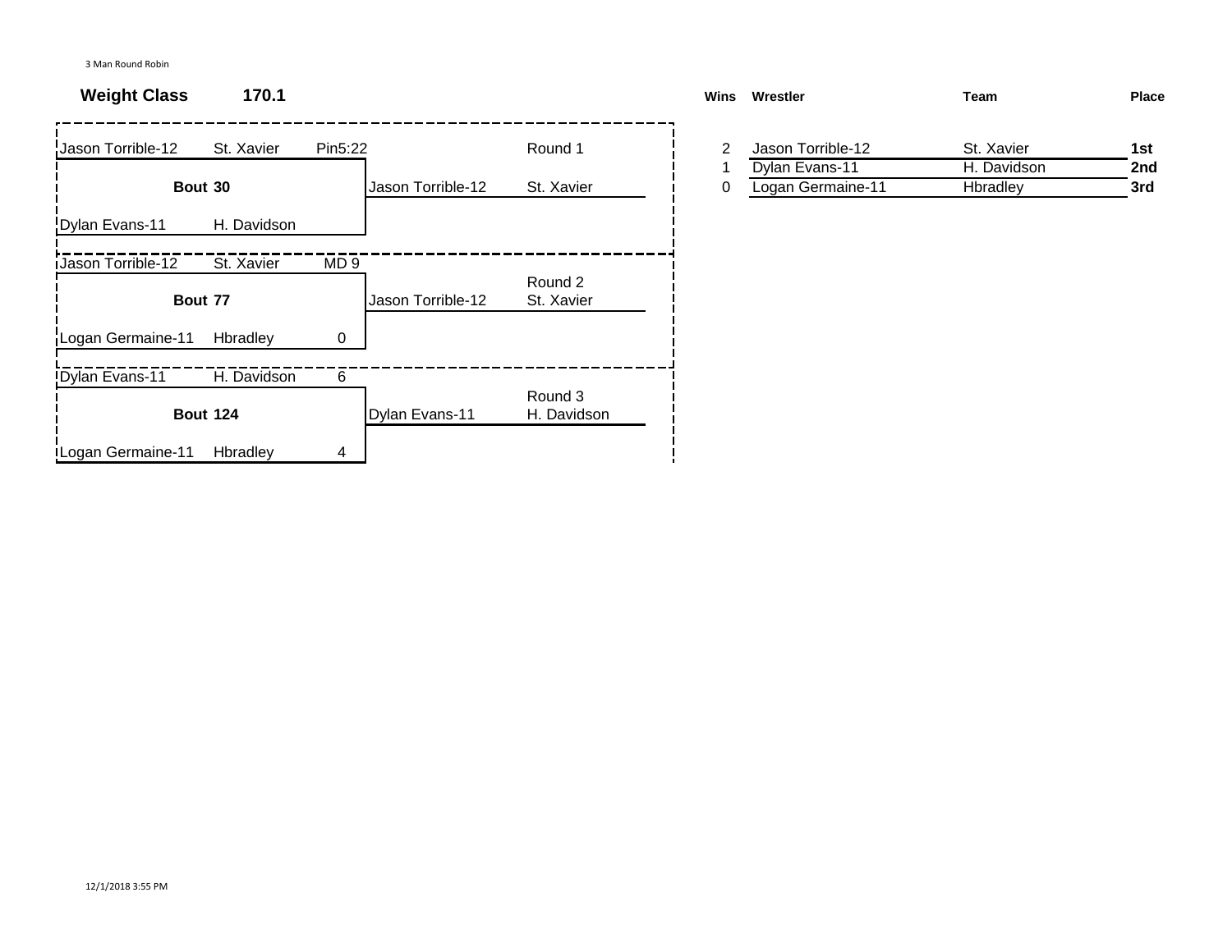| Jason Torrible-12        | St. Xavier      | Pin5:22         |                   | Round 1                | 2 | Jason Torrible-12 | St. Xavier  | 1st |
|--------------------------|-----------------|-----------------|-------------------|------------------------|---|-------------------|-------------|-----|
|                          |                 |                 |                   |                        |   | Dylan Evans-11    | H. Davidson | 2nc |
|                          | Bout 30         |                 | Jason Torrible-12 | St. Xavier             | 0 | Logan Germaine-11 | Hbradley    | 3rd |
| Dylan Evans-11           | H. Davidson     |                 |                   |                        |   |                   |             |     |
| <b>Jason Torrible-12</b> | St. Xavier      | MD <sub>9</sub> |                   |                        |   |                   |             |     |
|                          | Bout 77         |                 | Jason Torrible-12 | Round 2<br>St. Xavier  |   |                   |             |     |
| Logan Germaine-11        | Hbradley        |                 |                   |                        |   |                   |             |     |
| Dylan Evans-11           | H. Davidson     | 6               |                   |                        |   |                   |             |     |
|                          | <b>Bout 124</b> |                 | Dylan Evans-11    | Round 3<br>H. Davidson |   |                   |             |     |
| Logan Germaine-11        | Hbradley        | 4               |                   |                        |   |                   |             |     |

| <b>Weight Class</b> | 170.1      |                   |            | Wins | Wrestler          | Team        | <b>Place</b> |
|---------------------|------------|-------------------|------------|------|-------------------|-------------|--------------|
| son Torrible-12     | St. Xavier | Pin5:22           | Round 1    |      | Jason Torrible-12 | St. Xavier  | 1st          |
|                     |            |                   |            |      | Dylan Evans-11    | H. Davidson | 2nd          |
|                     | Bout 30    | Jason Torrible-12 | St. Xavier |      | Logan Germaine-11 | Hbradlev    | 3rd          |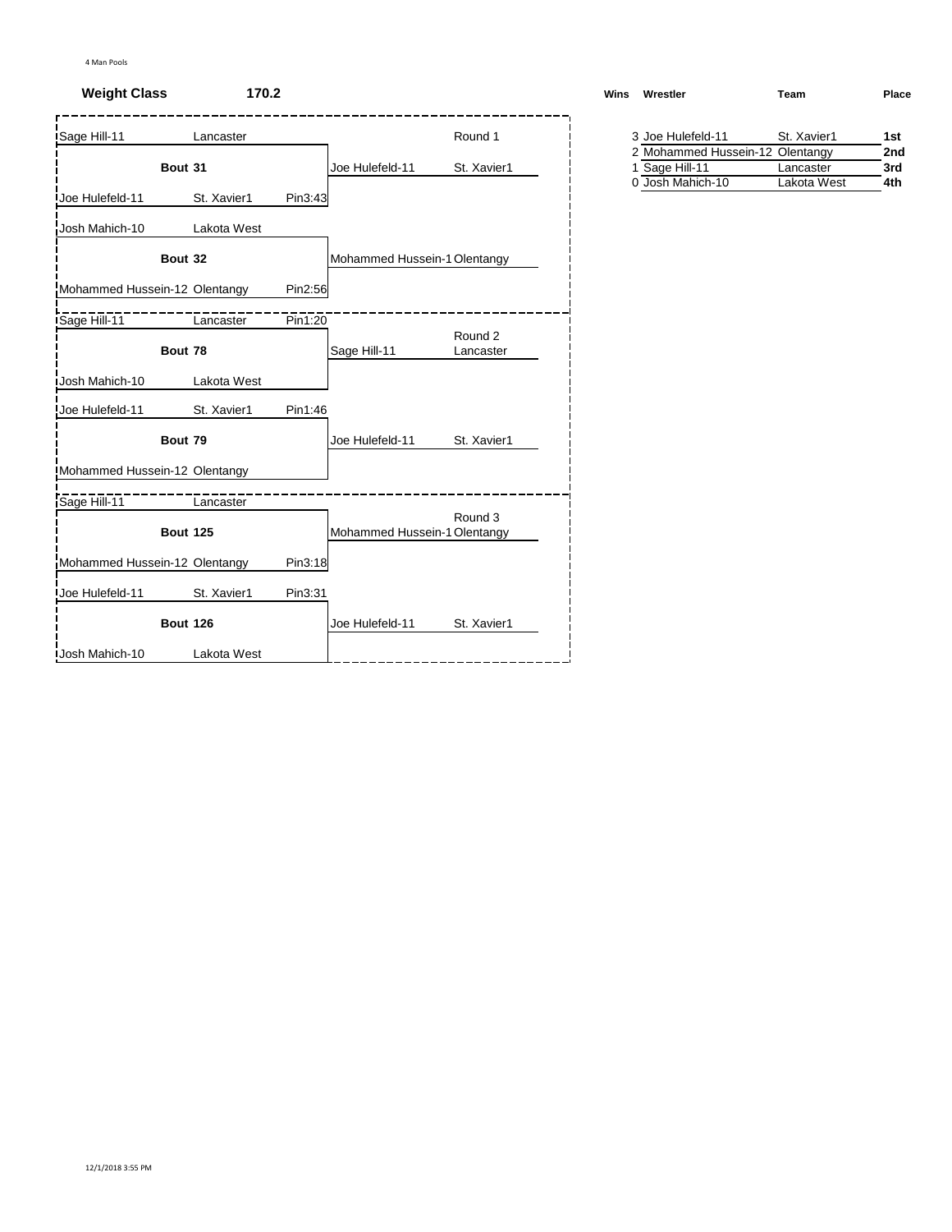# **Weight Class 170.2**

| Sage Hill-11                  | Lancaster       |         |                              | Round 1              | 3 Joe Hulefeld-11                                 | St. Xavier1 |  |
|-------------------------------|-----------------|---------|------------------------------|----------------------|---------------------------------------------------|-------------|--|
|                               | Bout 31         |         | Joe Hulefeld-11              | St. Xavier1          | 2 Mohammed Hussein-12 Olentangy<br>1 Sage Hill-11 | Lancaster   |  |
| Joe Hulefeld-11               | St. Xavier1     | Pin3:43 |                              |                      | 0 Josh Mahich-10                                  | Lakota West |  |
| Josh Mahich-10                | Lakota West     |         |                              |                      |                                                   |             |  |
|                               | Bout 32         |         | Mohammed Hussein-1 Olentangy |                      |                                                   |             |  |
| Mohammed Hussein-12 Olentangy |                 | Pin2:56 |                              |                      |                                                   |             |  |
| Sage Hill-11                  | Lancaster       | Pin1:20 |                              |                      |                                                   |             |  |
|                               | Bout 78         |         | Sage Hill-11                 | Round 2<br>Lancaster |                                                   |             |  |
| Josh Mahich-10                | Lakota West     |         |                              |                      |                                                   |             |  |
| Joe Hulefeld-11               | St. Xavier1     | Pin1:46 |                              |                      |                                                   |             |  |
|                               | Bout 79         |         | Joe Hulefeld-11              | St. Xavier1          |                                                   |             |  |
| Mohammed Hussein-12 Olentangy |                 |         |                              |                      |                                                   |             |  |
| Sage Hill-11                  | Lancaster       |         |                              |                      |                                                   |             |  |
|                               | <b>Bout 125</b> |         | Mohammed Hussein-1 Olentangy | Round 3              |                                                   |             |  |
| Mohammed Hussein-12 Olentangy |                 | Pin3:18 |                              |                      |                                                   |             |  |
| Joe Hulefeld-11               | St. Xavier1     | Pin3:31 |                              |                      |                                                   |             |  |
|                               | <b>Bout 126</b> |         | Joe Hulefeld-11              | St. Xavier1          |                                                   |             |  |
| <b>Josh Mahich-10</b>         | Lakota West     |         |                              |                      |                                                   |             |  |

| Wins | Wrestler                        | Team        | Place |
|------|---------------------------------|-------------|-------|
|      | 3 Joe Hulefeld-11               | St. Xavier1 | 1st   |
|      | 2 Mohammed Hussein-12 Olentangy |             | 2nd   |

| $\epsilon$ worldning ridgeon is oftendigy |             | ---  |
|-------------------------------------------|-------------|------|
| 1 Sage Hill-11                            | Lancaster   | 3rd  |
| 0 Josh Mahich-10                          | Lakota West | 4th. |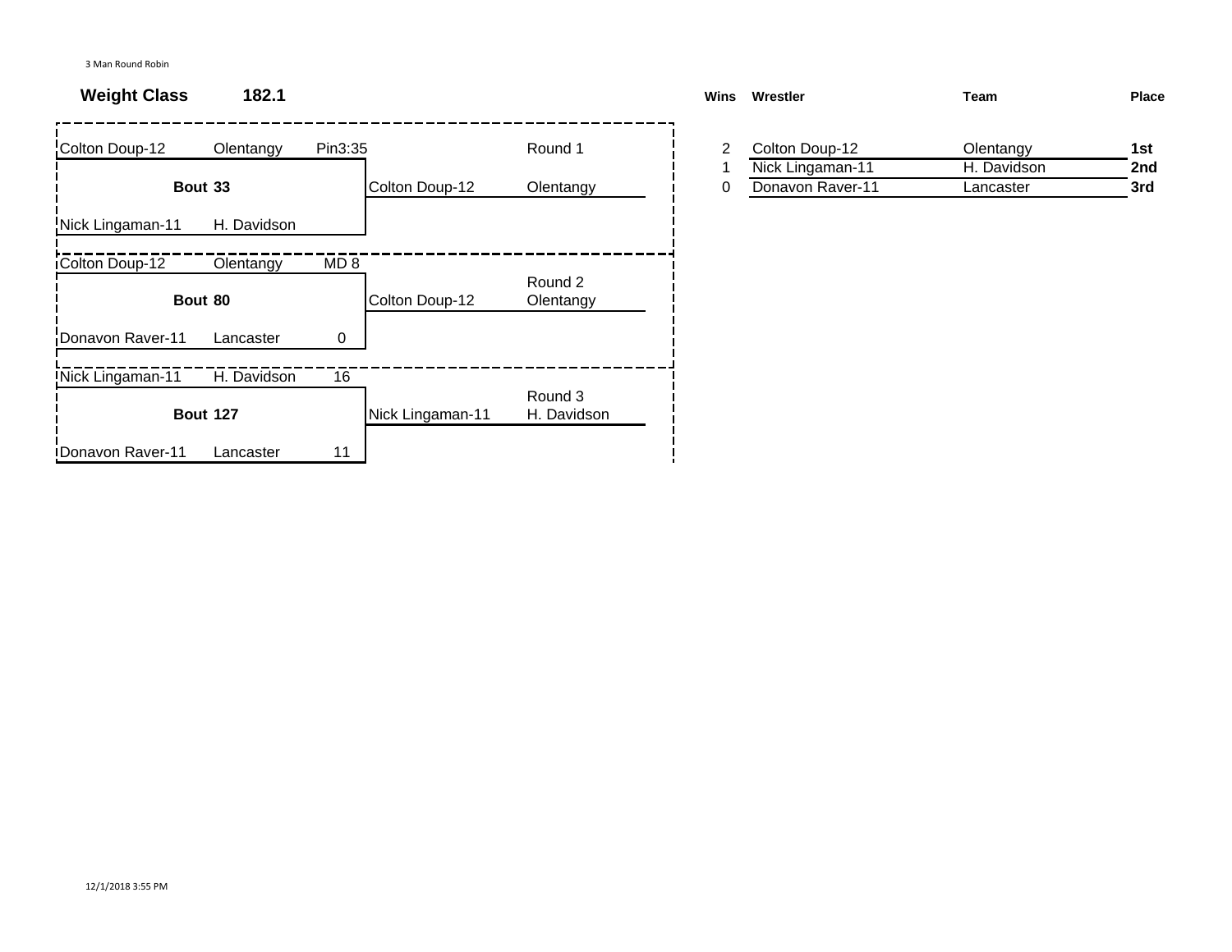# **Weight Class 182.1**

| Colton Doup-12           | Olentangy       | Pin3:35         |                  | Round 1                | 2 | Colton Doup-12   | Olentangy   | 1st |
|--------------------------|-----------------|-----------------|------------------|------------------------|---|------------------|-------------|-----|
|                          |                 |                 |                  |                        |   | Nick Lingaman-11 | H. Davidson | 2nc |
|                          | Bout 33         |                 | Colton Doup-12   | Olentangy              | 0 | Donavon Raver-11 | Lancaster   | 3rd |
| Nick Lingaman-11         | H. Davidson     |                 |                  |                        |   |                  |             |     |
| <b>iColton Doup-12</b>   | Olentangy       | MD <sub>8</sub> |                  |                        |   |                  |             |     |
|                          | Bout 80         |                 | Colton Doup-12   | Round 2<br>Olentangy   |   |                  |             |     |
| Donavon Raver-11         | Lancaster       | 0               |                  |                        |   |                  |             |     |
| Nick Lingaman-11         | H. Davidson     | 16              |                  |                        |   |                  |             |     |
|                          | <b>Bout 127</b> |                 | Nick Lingaman-11 | Round 3<br>H. Davidson |   |                  |             |     |
| <b>IDonavon Raver-11</b> | Lancaster       | 11              |                  |                        |   |                  |             |     |

| Wins | Wrestler         | Team        | Place |
|------|------------------|-------------|-------|
|      | Colton Doup-12   | Olentangy   | 1st   |
|      | Nick Lingaman-11 | H. Davidson | 2nd   |
| 0    | Donavon Raver-11 | Lancaster   | 3rd   |
|      |                  |             |       |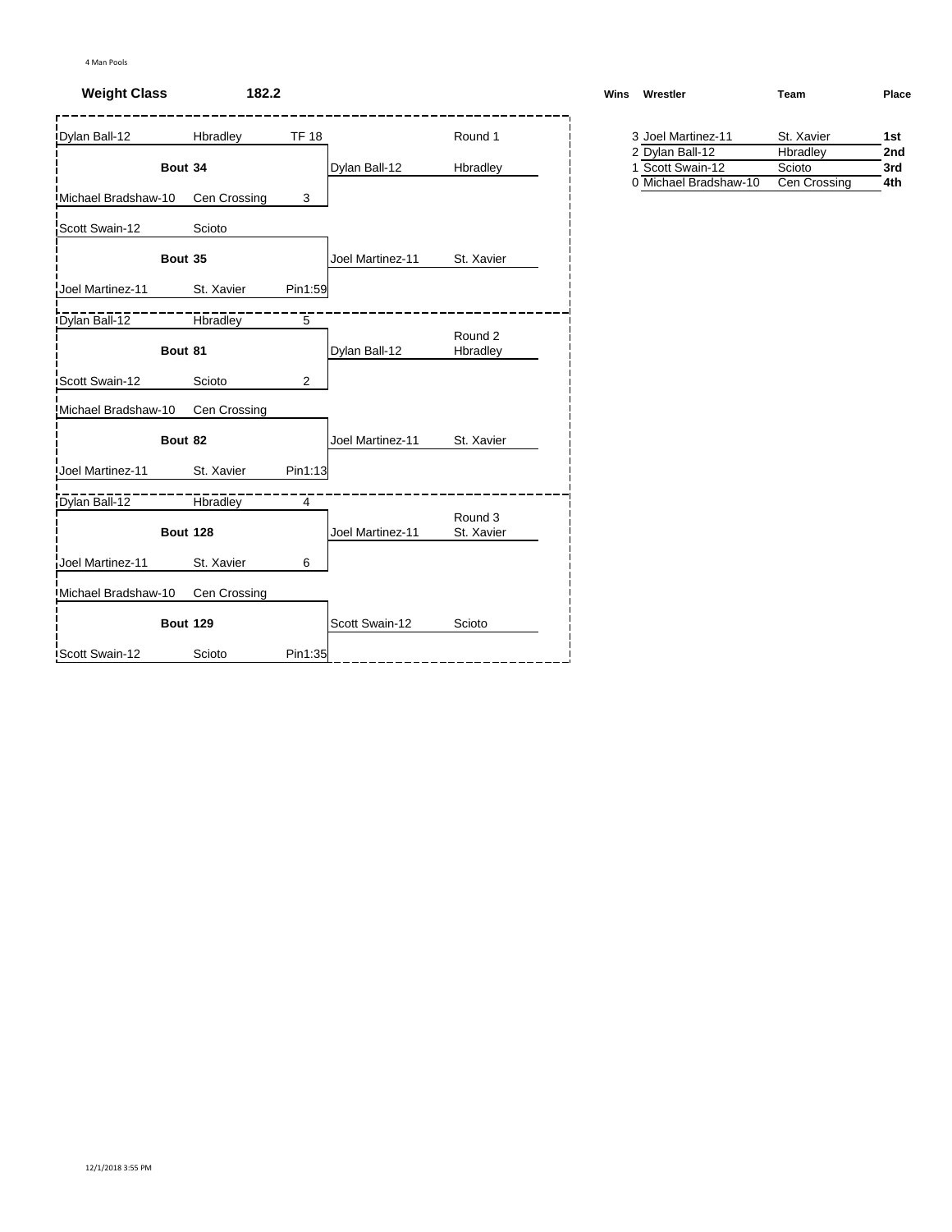### **Weight Class 182.2**

| Dylan Ball-12         | Hbradley        | <b>TF 18</b>   |                  | Round 1               | 3 Joel Martinez-11                        | St. Xavier             |
|-----------------------|-----------------|----------------|------------------|-----------------------|-------------------------------------------|------------------------|
|                       |                 |                |                  |                       | 2 Dylan Ball-12                           | Hbradley               |
| Bout 34               |                 |                | Dylan Ball-12    | Hbradley              | 1 Scott Swain-12<br>0 Michael Bradshaw-10 | Scioto<br>Cen Crossing |
| Michael Bradshaw-10   | Cen Crossing    | 3              |                  |                       |                                           |                        |
| Scott Swain-12        | Scioto          |                |                  |                       |                                           |                        |
| Bout 35               |                 |                | Joel Martinez-11 | St. Xavier            |                                           |                        |
| Joel Martinez-11      | St. Xavier      | Pin1:59        |                  |                       |                                           |                        |
| Dylan Ball-12         | <b>Hbradley</b> | $\overline{5}$ |                  |                       |                                           |                        |
| Bout 81               |                 |                | Dylan Ball-12    | Round 2<br>Hbradley   |                                           |                        |
| <b>Scott Swain-12</b> | Scioto          | $\overline{2}$ |                  |                       |                                           |                        |
| Michael Bradshaw-10   | Cen Crossing    |                |                  |                       |                                           |                        |
| Bout 82               |                 |                | Joel Martinez-11 | St. Xavier            |                                           |                        |
| Joel Martinez-11      | St. Xavier      | Pin1:13        |                  |                       |                                           |                        |
| Dylan Ball-12         | <b>Hbradley</b> | $\overline{4}$ |                  |                       |                                           |                        |
| <b>Bout 128</b>       |                 |                | Joel Martinez-11 | Round 3<br>St. Xavier |                                           |                        |
| Joel Martinez-11      | St. Xavier      | 6              |                  |                       |                                           |                        |
| Michael Bradshaw-10   | Cen Crossing    |                |                  |                       |                                           |                        |
| <b>Bout 129</b>       |                 |                | Scott Swain-12   | Scioto                |                                           |                        |
| Scott Swain-12        | Scioto          | Pin1:35        |                  |                       |                                           |                        |

| Wins | Wrestler           | Team       | <b>Place</b> |
|------|--------------------|------------|--------------|
|      | 3 Joel Martinez-11 | St. Xavier | 1st          |
|      | 2 Dylan Ball-12    | Hbradley   | 2nd          |

| 1 Scott Swain-12      | Scioto       | 3rd |
|-----------------------|--------------|-----|
| 0 Michael Bradshaw-10 | Cen Crossing | 4th |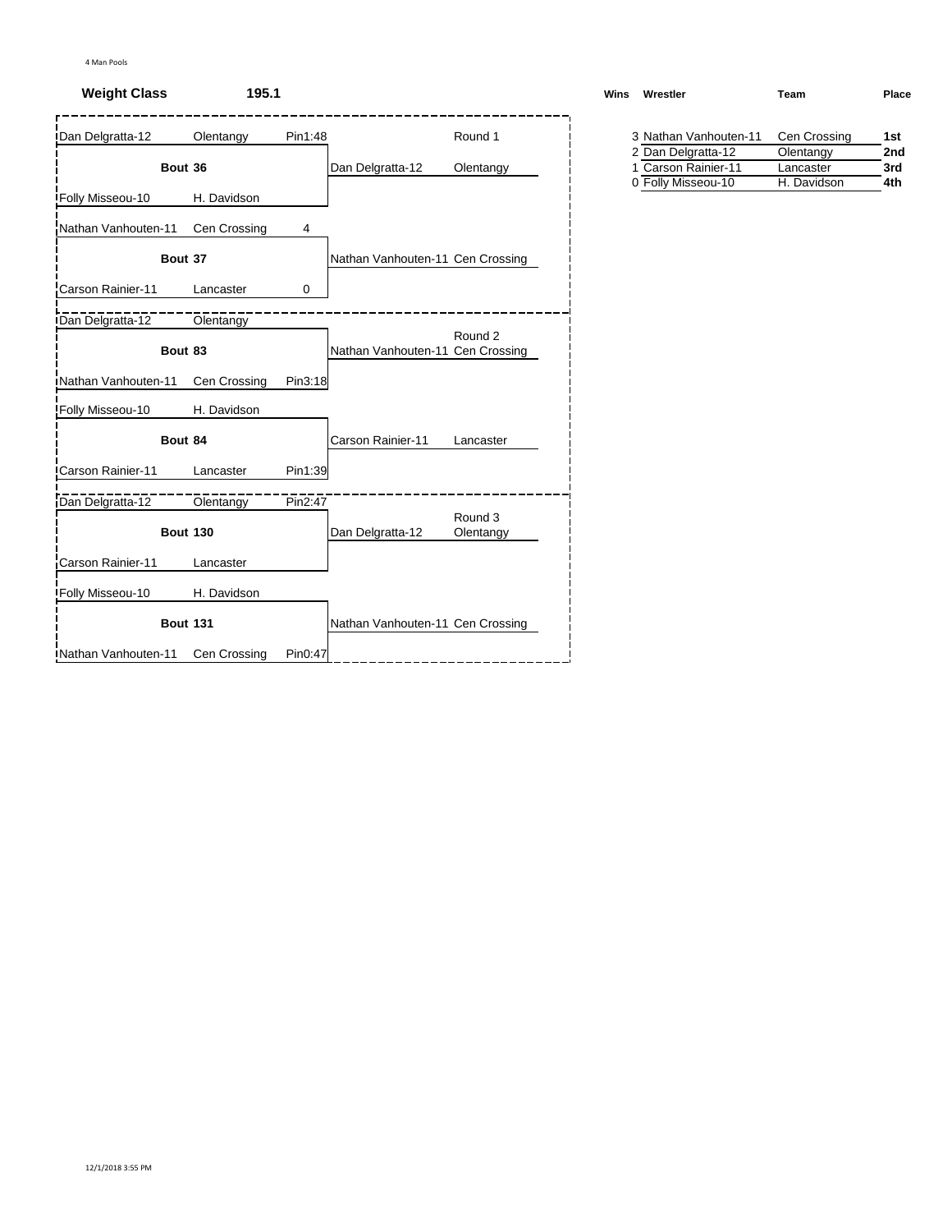## **Weight Class 195.1**

| Dan Delgratta-12     | Olentangy       | Pin1:48     |                                  | Round 1   | 3 Nathan Vanhouten-11                     | Cen Crossing           |
|----------------------|-----------------|-------------|----------------------------------|-----------|-------------------------------------------|------------------------|
| Bout 36              |                 |             | Dan Delgratta-12                 | Olentangy | 2 Dan Delgratta-12<br>1 Carson Rainier-11 | Olentangy<br>Lancaster |
| Folly Misseou-10     | H. Davidson     |             |                                  |           | 0 Folly Misseou-10                        | H. Davidson            |
| Nathan Vanhouten-11  | Cen Crossing    | 4           |                                  |           |                                           |                        |
| Bout 37              |                 |             | Nathan Vanhouten-11 Cen Crossing |           |                                           |                        |
| Carson Rainier-11    | Lancaster       | $\mathbf 0$ |                                  |           |                                           |                        |
| Dan Delgratta-12     | Olentangy       |             |                                  |           |                                           |                        |
| Bout 83              |                 |             | Nathan Vanhouten-11 Cen Crossing | Round 2   |                                           |                        |
| Nathan Vanhouten-11  | Cen Crossing    | Pin3:18     |                                  |           |                                           |                        |
| Folly Misseou-10     | H. Davidson     |             |                                  |           |                                           |                        |
| Bout 84              |                 |             | Carson Rainier-11                | Lancaster |                                           |                        |
| Carson Rainier-11    | Lancaster       | Pin1:39     |                                  |           |                                           |                        |
| Dan Delgratta-12     | Olentangy       | Pin2:47     |                                  | Round 3   |                                           |                        |
|                      | <b>Bout 130</b> |             | Dan Delgratta-12                 | Olentangy |                                           |                        |
| Carson Rainier-11    | Lancaster       |             |                                  |           |                                           |                        |
| Folly Misseou-10     | H. Davidson     |             |                                  |           |                                           |                        |
|                      | <b>Bout 131</b> |             | Nathan Vanhouten-11 Cen Crossing |           |                                           |                        |
| INathan Vanhouten-11 | Cen Crossing    | Pin0:47     |                                  |           |                                           |                        |

| Wins Wrestler                      | Team | <b>Place</b> |
|------------------------------------|------|--------------|
| 3 Nathan Vanhouten-11 Cen Crossing |      | 1st          |

| 2 Dan Delgratta-12  | Olentangy   | 2nd |
|---------------------|-------------|-----|
| 1 Carson Rainier-11 | Lancaster   | 3rd |
| 0 Folly Misseou-10  | H. Davidson | 4th |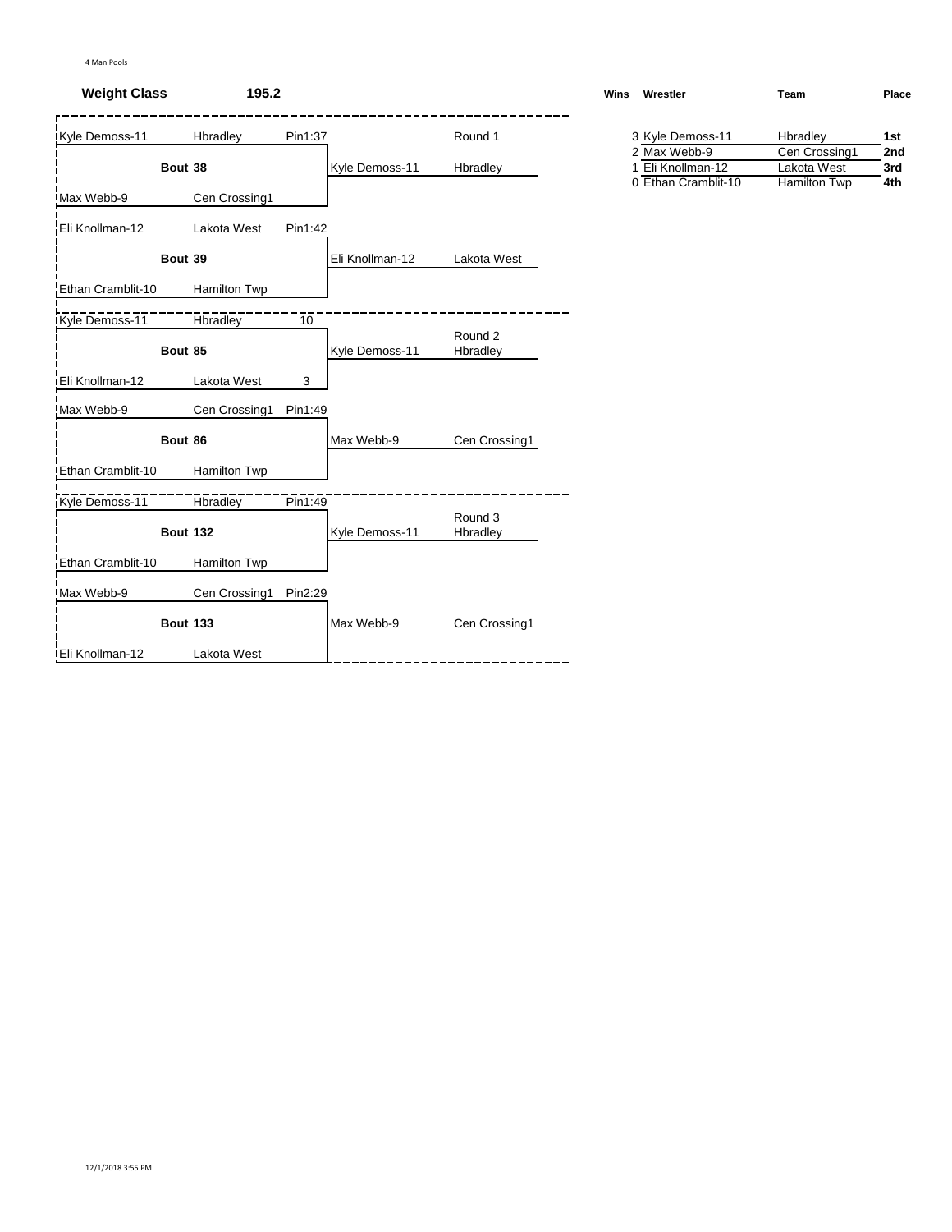## **Weight Class 195.2**

| Kyle Demoss-11          | Hbradley            | Pin1:37 |                 | Round 1             | 3 Kyle Demoss-11 |
|-------------------------|---------------------|---------|-----------------|---------------------|------------------|
|                         |                     |         |                 |                     |                  |
| Bout 38                 |                     |         | Kyle Demoss-11  | Hbradley            |                  |
| Max Webb-9              | Cen Crossing1       |         |                 |                     |                  |
| Eli Knollman-12         | Lakota West         | Pin1:42 |                 |                     |                  |
| Bout 39                 |                     |         | Eli Knollman-12 | Lakota West         |                  |
| Ethan Cramblit-10       | Hamilton Twp        |         |                 |                     |                  |
| Kyle Demoss-11          | <b>Hbradley</b>     | 10      |                 | Round 2             |                  |
| Bout 85                 |                     |         | Kyle Demoss-11  | Hbradley            |                  |
| <b>IEli Knollman-12</b> | Lakota West         | 3       |                 |                     |                  |
| Max Webb-9              | Cen Crossing1       | Pin1:49 |                 |                     |                  |
| Bout 86                 |                     |         | Max Webb-9      | Cen Crossing1       |                  |
| Ethan Cramblit-10       | <b>Hamilton Twp</b> |         |                 |                     |                  |
| Kyle Demoss-11          | Hbradley            | Pin1:49 |                 |                     |                  |
|                         | <b>Bout 132</b>     |         | Kyle Demoss-11  | Round 3<br>Hbradley |                  |
| Ethan Cramblit-10       | Hamilton Twp        |         |                 |                     |                  |
| Max Webb-9              | Cen Crossing1       | Pin2:29 |                 |                     |                  |
|                         | <b>Bout 133</b>     |         | Max Webb-9      | Cen Crossing1       |                  |
| <b>IEli Knollman-12</b> | Lakota West         |         |                 |                     |                  |

| Wins | Wrestler         | Team              | Place |
|------|------------------|-------------------|-------|
|      | 3 Kyle Demoss-11 | Hbradley          | 1st   |
|      | $2$ May Wabb $0$ | $C_{2D}$ $C_{22}$ | ົາຕະປ |

| 2 Max Webb-9        | Cen Crossing1 | 2nd |
|---------------------|---------------|-----|
| 1 Eli Knollman-12   | Lakota West   | 3rd |
| 0 Ethan Cramblit-10 | Hamilton Twp  | 4th |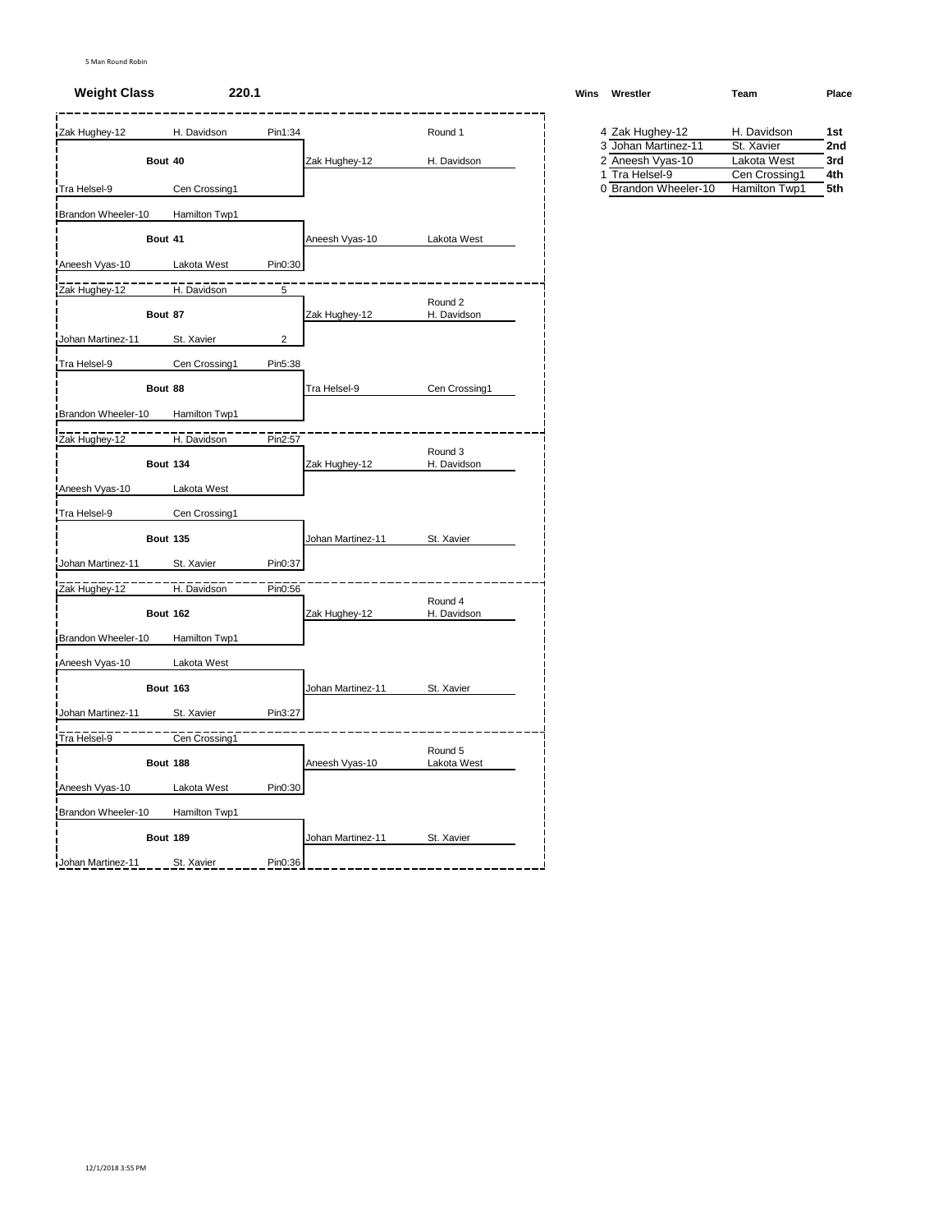#### **Weight Class 220.1 Winsbury <b>WRESTLER WRESTLER**

| Zak Hughey-12              |                 | H. Davidson   | Pin1:34        |                   | Round 1                |  | 4 Zak Hughey-12      | H. Davidson   | 1st |
|----------------------------|-----------------|---------------|----------------|-------------------|------------------------|--|----------------------|---------------|-----|
|                            |                 |               |                |                   |                        |  | 3 Johan Martinez-11  | St. Xavier    | 2nc |
|                            | Bout 40         |               |                | Zak Hughey-12     | H. Davidson            |  | 2 Aneesh Vyas-10     | Lakota West   | 3rd |
|                            |                 |               |                |                   |                        |  | 1 Tra Helsel-9       | Cen Crossing1 | 4th |
| Tra Helsel-9               |                 | Cen Crossing1 |                |                   |                        |  | 0 Brandon Wheeler-10 | Hamilton Twp1 | 5th |
| <b>IBrandon Wheeler-10</b> |                 | Hamilton Twp1 |                |                   |                        |  |                      |               |     |
|                            | Bout 41         |               |                | Aneesh Vyas-10    | Lakota West            |  |                      |               |     |
| Aneesh Vyas-10             |                 | Lakota West   | Pin0:30        |                   |                        |  |                      |               |     |
| Zak Hughey-12              |                 | H. Davidson   | 5              |                   |                        |  |                      |               |     |
|                            | Bout 87         |               |                | Zak Hughey-12     | Round 2<br>H. Davidson |  |                      |               |     |
| Johan Martinez-11          |                 | St. Xavier    | $\overline{2}$ |                   |                        |  |                      |               |     |
| Tra Helsel-9               |                 | Cen Crossing1 | Pin5:38        |                   |                        |  |                      |               |     |
|                            | Bout 88         |               |                | Tra Helsel-9      | Cen Crossing1          |  |                      |               |     |
| Brandon Wheeler-10         |                 | Hamilton Twp1 |                |                   |                        |  |                      |               |     |
| Zak Hughey-12              |                 | H. Davidson   | Pin2:57        |                   |                        |  |                      |               |     |
|                            | <b>Bout 134</b> |               |                | Zak Hughey-12     | Round 3<br>H. Davidson |  |                      |               |     |
| Aneesh Vyas-10             |                 | Lakota West   |                |                   |                        |  |                      |               |     |
| Tra Helsel-9               |                 | Cen Crossing1 |                |                   |                        |  |                      |               |     |
|                            | <b>Bout 135</b> |               |                | Johan Martinez-11 | St. Xavier             |  |                      |               |     |
| Johan Martinez-11          |                 | St. Xavier    | Pin0:37        |                   |                        |  |                      |               |     |
| Zak Hughey-12              |                 | H. Davidson   | Pin0:56        |                   |                        |  |                      |               |     |
|                            | <b>Bout 162</b> |               |                | Zak Hughey-12     | Round 4<br>H. Davidson |  |                      |               |     |
| Brandon Wheeler-10         |                 | Hamilton Twp1 |                |                   |                        |  |                      |               |     |
| Aneesh Vyas-10             |                 | Lakota West   |                |                   |                        |  |                      |               |     |
|                            | <b>Bout 163</b> |               |                | Johan Martinez-11 | St. Xavier             |  |                      |               |     |
| Johan Martinez-11          |                 | St. Xavier    | Pin3:27        |                   |                        |  |                      |               |     |
| Tra Helsel-9               |                 | Cen Crossing1 |                |                   |                        |  |                      |               |     |
|                            |                 |               |                |                   | Round 5                |  |                      |               |     |
|                            | Bout 188        |               |                | Aneesh Vyas-10    | Lakota West            |  |                      |               |     |
| Aneesh Vyas-10             |                 | Lakota West   | Pin0:30        |                   |                        |  |                      |               |     |
| Brandon Wheeler-10         |                 | Hamilton Twp1 |                |                   |                        |  |                      |               |     |
|                            | <b>Bout 189</b> |               |                | Johan Martinez-11 | St. Xavier             |  |                      |               |     |
| Johan Martinez-11          |                 | St. Xavier    | Pin0:36        |                   |                        |  |                      |               |     |

| Vins | Wrestler            | Team          | Place |
|------|---------------------|---------------|-------|
|      | 4 Zak Hughey-12     | H. Davidson   | 1st   |
|      | 3 Johan Martinez-11 | St. Xavier    | 2nd   |
|      | 2 Aneesh Vyas-10    | Lakota West   | 3rd   |
|      | 1 Tra Helsel-9      | Cen Crossing1 | 4th   |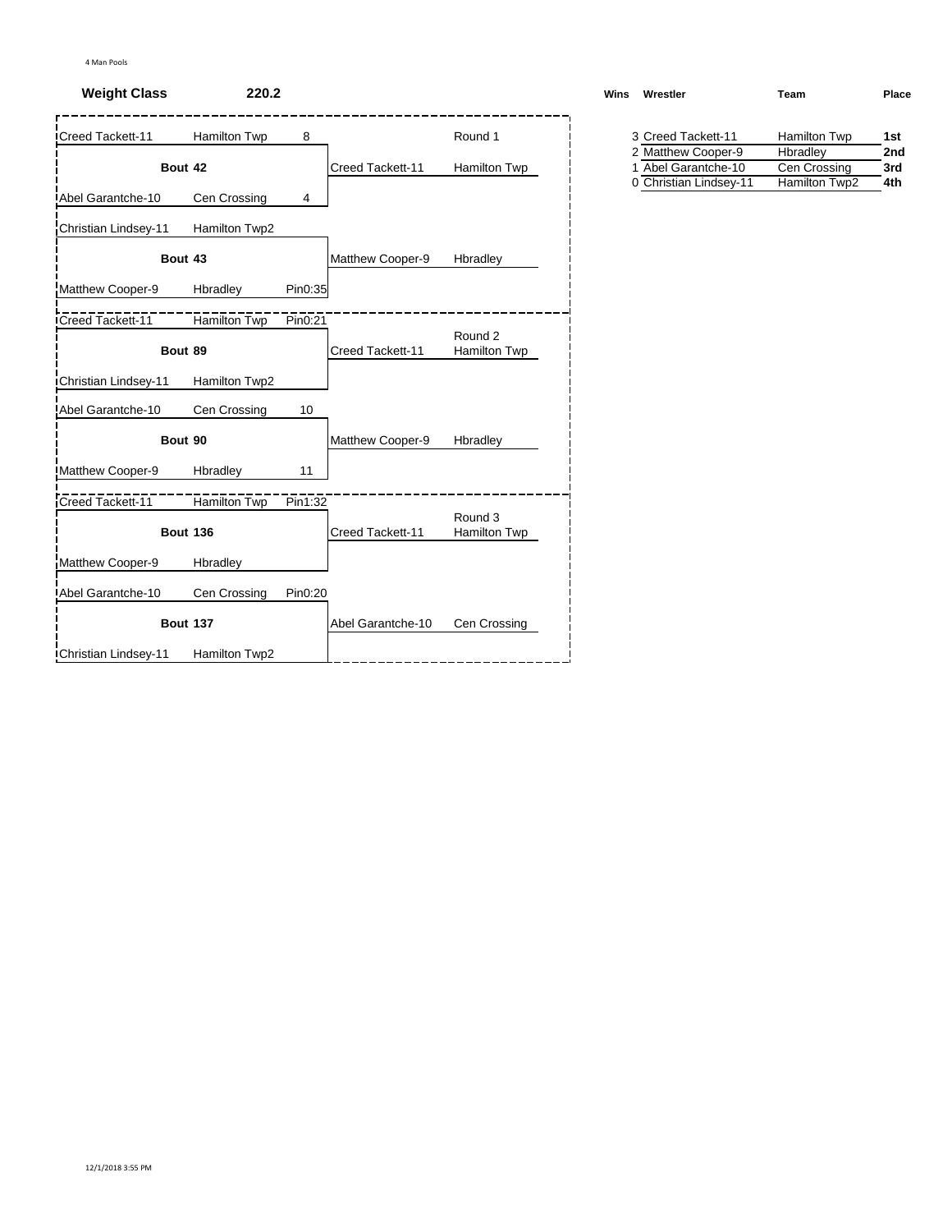## **Weight Class 220.2**

| Creed Tackett-11             | <b>Hamilton Twp</b> | 8       |                   | Round 1                            | 3 Creed Tackett-11                            | <b>Hamilton Twp</b>           |
|------------------------------|---------------------|---------|-------------------|------------------------------------|-----------------------------------------------|-------------------------------|
|                              |                     |         |                   |                                    | 2 Matthew Cooper-9                            | Hbradley                      |
|                              | Bout 42             |         | Creed Tackett-11  | Hamilton Twp                       | 1 Abel Garantche-10<br>0 Christian Lindsey-11 | Cen Crossing<br>Hamilton Twp2 |
| Abel Garantche-10            | Cen Crossing        | 4       |                   |                                    |                                               |                               |
| Christian Lindsey-11         | Hamilton Twp2       |         |                   |                                    |                                               |                               |
|                              | Bout 43             |         | Matthew Cooper-9  | Hbradley                           |                                               |                               |
| Matthew Cooper-9             | Hbradley            | Pin0:35 |                   |                                    |                                               |                               |
| Creed Tackett-11             | Hamilton Twp        | Pin0:21 |                   |                                    |                                               |                               |
|                              | Bout 89             |         | Creed Tackett-11  | Round <sub>2</sub><br>Hamilton Twp |                                               |                               |
| <b>IChristian Lindsey-11</b> | Hamilton Twp2       |         |                   |                                    |                                               |                               |
| Abel Garantche-10            | Cen Crossing        | 10      |                   |                                    |                                               |                               |
|                              | Bout 90             |         | Matthew Cooper-9  | Hbradley                           |                                               |                               |
| Matthew Cooper-9             | Hbradley            | 11      |                   |                                    |                                               |                               |
| Creed Tackett-11             | <b>Hamilton Twp</b> | Pin1:32 |                   |                                    |                                               |                               |
|                              | <b>Bout 136</b>     |         | Creed Tackett-11  | Round 3<br>Hamilton Twp            |                                               |                               |
| Matthew Cooper-9             | Hbradley            |         |                   |                                    |                                               |                               |
| Abel Garantche-10            | Cen Crossing        | Pin0:20 |                   |                                    |                                               |                               |
|                              | <b>Bout 137</b>     |         | Abel Garantche-10 | Cen Crossing                       |                                               |                               |
| Christian Lindsey-11         | Hamilton Twp2       |         |                   |                                    |                                               |                               |

| Wins | Wrestler           | Team         | Place |  |  |
|------|--------------------|--------------|-------|--|--|
|      | 3 Creed Tackett-11 | Hamilton Twp | 1st   |  |  |
|      | 2 Matthew Cooper-9 | Hbradley     | 2nd   |  |  |

| z matricw Cooper-3     | i ibiauley    | 41 I. |
|------------------------|---------------|-------|
| 1 Abel Garantche-10    | Cen Crossing  | 3rd   |
| 0 Christian Lindsey-11 | Hamilton Twp2 | 4th   |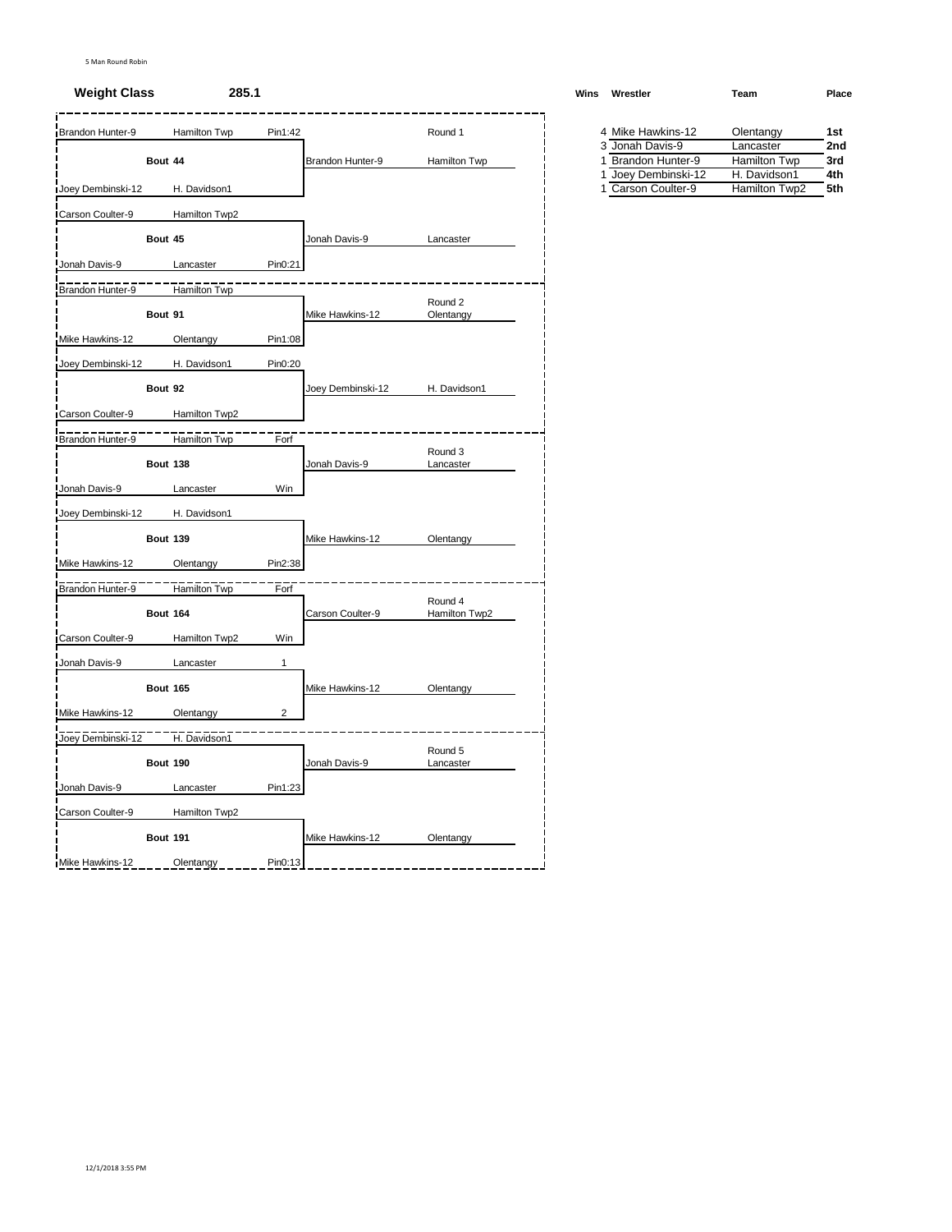#### **Weight Class 285.1 Weight Class WRESTLER W**

| Joey Dembinski-12<br>Carson Coulter-9<br>Jonah Davis-9<br>Brandon Hunter-9<br>Mike Hawkins-12<br>Joey Dembinski-12<br>Carson Coulter-9<br>Brandon Hunter-9<br>Jonah Davis-9 | Bout 44<br>Bout 45<br>Bout 91 | H. Davidson1<br>Hamilton Twp2<br>Lancaster<br>Hamilton Twp<br>Olentangy | Pin0:21<br>Pin1:08 | Brandon Hunter-9<br>Jonah Davis-9<br>Mike Hawkins-12 | Hamilton Twp<br>Lancaster | 3 Jonah Davis-9<br>1 Brandon Hunter-9<br>1 Joey Dembinski-12<br>1 Carson Coulter-9 | Lancaster<br><b>Hamilton Twp</b><br>H. Davidson1<br>Hamilton Twp2 | 2nc<br>3rd<br>4th<br>5th |
|-----------------------------------------------------------------------------------------------------------------------------------------------------------------------------|-------------------------------|-------------------------------------------------------------------------|--------------------|------------------------------------------------------|---------------------------|------------------------------------------------------------------------------------|-------------------------------------------------------------------|--------------------------|
|                                                                                                                                                                             |                               |                                                                         |                    |                                                      |                           |                                                                                    |                                                                   |                          |
|                                                                                                                                                                             |                               |                                                                         |                    |                                                      |                           |                                                                                    |                                                                   |                          |
|                                                                                                                                                                             |                               |                                                                         |                    |                                                      |                           |                                                                                    |                                                                   |                          |
|                                                                                                                                                                             |                               |                                                                         |                    |                                                      |                           |                                                                                    |                                                                   |                          |
|                                                                                                                                                                             |                               |                                                                         |                    |                                                      |                           |                                                                                    |                                                                   |                          |
|                                                                                                                                                                             |                               |                                                                         |                    |                                                      |                           |                                                                                    |                                                                   |                          |
|                                                                                                                                                                             |                               |                                                                         |                    |                                                      |                           |                                                                                    |                                                                   |                          |
|                                                                                                                                                                             |                               |                                                                         |                    |                                                      |                           |                                                                                    |                                                                   |                          |
|                                                                                                                                                                             |                               |                                                                         |                    |                                                      | Round 2                   |                                                                                    |                                                                   |                          |
|                                                                                                                                                                             |                               |                                                                         |                    |                                                      | Olentangy                 |                                                                                    |                                                                   |                          |
|                                                                                                                                                                             |                               |                                                                         |                    |                                                      |                           |                                                                                    |                                                                   |                          |
|                                                                                                                                                                             |                               | H. Davidson1                                                            | Pin0:20            |                                                      |                           |                                                                                    |                                                                   |                          |
|                                                                                                                                                                             | Bout 92                       |                                                                         |                    | Joey Dembinski-12                                    | H. Davidson1              |                                                                                    |                                                                   |                          |
|                                                                                                                                                                             |                               | Hamilton Twp2                                                           |                    |                                                      |                           |                                                                                    |                                                                   |                          |
|                                                                                                                                                                             |                               |                                                                         |                    |                                                      |                           |                                                                                    |                                                                   |                          |
|                                                                                                                                                                             |                               | Hamilton Twp                                                            | Forf               |                                                      | Round 3                   |                                                                                    |                                                                   |                          |
|                                                                                                                                                                             | <b>Bout 138</b>               |                                                                         |                    | Jonah Davis-9                                        | Lancaster                 |                                                                                    |                                                                   |                          |
|                                                                                                                                                                             |                               | Lancaster                                                               | Win                |                                                      |                           |                                                                                    |                                                                   |                          |
| Joey Dembinski-12                                                                                                                                                           |                               | H. Davidson1                                                            |                    |                                                      |                           |                                                                                    |                                                                   |                          |
|                                                                                                                                                                             | <b>Bout 139</b>               |                                                                         |                    | Mike Hawkins-12                                      | Olentangy                 |                                                                                    |                                                                   |                          |
|                                                                                                                                                                             |                               |                                                                         |                    |                                                      |                           |                                                                                    |                                                                   |                          |
| Mike Hawkins-12                                                                                                                                                             |                               | Olentangy                                                               | Pin2:38            |                                                      |                           |                                                                                    |                                                                   |                          |
| Brandon Hunter-9                                                                                                                                                            |                               | Hamilton Twp                                                            | Forf               |                                                      |                           |                                                                                    |                                                                   |                          |
|                                                                                                                                                                             | <b>Bout 164</b>               |                                                                         |                    | Carson Coulter-9                                     | Round 4<br>Hamilton Twp2  |                                                                                    |                                                                   |                          |
| Carson Coulter-9                                                                                                                                                            |                               | Hamilton Twp2                                                           | Win                |                                                      |                           |                                                                                    |                                                                   |                          |
| Jonah Davis-9                                                                                                                                                               |                               | Lancaster                                                               | $\mathbf{1}$       |                                                      |                           |                                                                                    |                                                                   |                          |
|                                                                                                                                                                             | <b>Bout 165</b>               |                                                                         |                    |                                                      |                           |                                                                                    |                                                                   |                          |
|                                                                                                                                                                             |                               |                                                                         |                    | Mike Hawkins-12                                      | Olentangy                 |                                                                                    |                                                                   |                          |
| Mike Hawkins-12                                                                                                                                                             |                               | Olentangy                                                               | 2                  |                                                      |                           |                                                                                    |                                                                   |                          |
| Joey Dembinski-12                                                                                                                                                           |                               | H. Davidson1                                                            |                    |                                                      |                           |                                                                                    |                                                                   |                          |
|                                                                                                                                                                             | Bout 190                      |                                                                         |                    | Jonah Davis-9                                        | Round 5<br>Lancaster      |                                                                                    |                                                                   |                          |
|                                                                                                                                                                             |                               |                                                                         |                    |                                                      |                           |                                                                                    |                                                                   |                          |
| Jonah Davis-9                                                                                                                                                               |                               | Lancaster                                                               | Pin1:23            |                                                      |                           |                                                                                    |                                                                   |                          |
| Carson Coulter-9                                                                                                                                                            |                               | Hamilton Twp2                                                           |                    |                                                      |                           |                                                                                    |                                                                   |                          |
|                                                                                                                                                                             |                               |                                                                         |                    | Mike Hawkins-12                                      | Olentangy                 |                                                                                    |                                                                   |                          |
| Mike Hawkins-12                                                                                                                                                             | <b>Bout 191</b>               |                                                                         |                    |                                                      |                           |                                                                                    |                                                                   |                          |

| Vins | Wrestler           | Team         | Place |
|------|--------------------|--------------|-------|
|      | 4 Mike Hawkins-12  | Olentangy    | 1st   |
|      | 3 Jonah Davis-9    | Lancaster    | 2nd   |
|      | 1 Brandon Hunter-9 | Hamilton Twp | 3rd   |